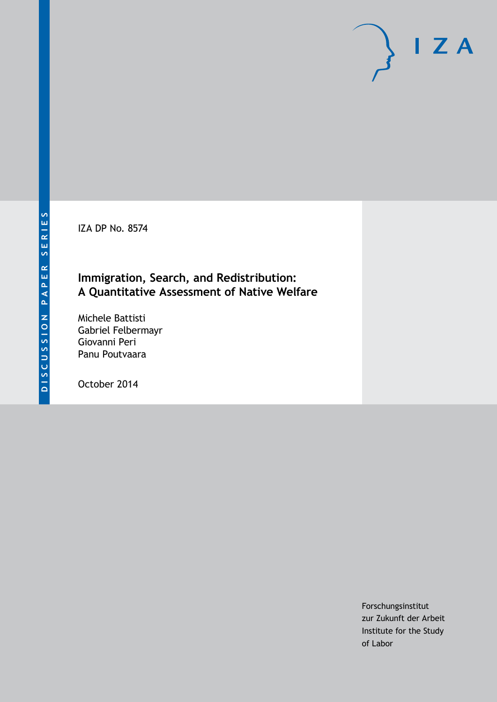IZA DP No. 8574

### **Immigration, Search, and Redistribution: A Quantitative Assessment of Native Welfare**

Michele Battisti Gabriel Felbermayr Giovanni Peri Panu Poutvaara

October 2014

Forschungsinstitut zur Zukunft der Arbeit Institute for the Study of Labor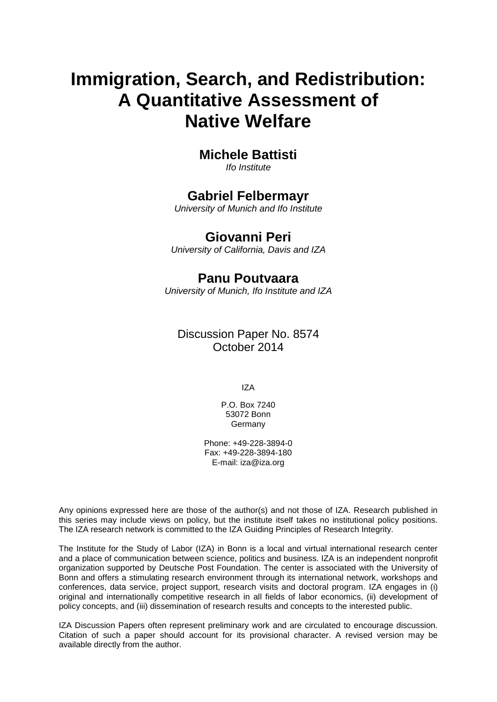# **Immigration, Search, and Redistribution: A Quantitative Assessment of Native Welfare**

# **Michele Battisti**

*Ifo Institute*

# **Gabriel Felbermayr**

*University of Munich and Ifo Institute*

# **Giovanni Peri**

*University of California, Davis and IZA*

# **Panu Poutvaara**

*University of Munich, Ifo Institute and IZA*

Discussion Paper No. 8574 October 2014

IZA

P.O. Box 7240 53072 Bonn **Germany** 

Phone: +49-228-3894-0 Fax: +49-228-3894-180 E-mail: [iza@iza.org](mailto:iza@iza.org)

Any opinions expressed here are those of the author(s) and not those of IZA. Research published in this series may include views on policy, but the institute itself takes no institutional policy positions. The IZA research network is committed to the IZA Guiding Principles of Research Integrity.

The Institute for the Study of Labor (IZA) in Bonn is a local and virtual international research center and a place of communication between science, politics and business. IZA is an independent nonprofit organization supported by Deutsche Post Foundation. The center is associated with the University of Bonn and offers a stimulating research environment through its international network, workshops and conferences, data service, project support, research visits and doctoral program. IZA engages in (i) original and internationally competitive research in all fields of labor economics, (ii) development of policy concepts, and (iii) dissemination of research results and concepts to the interested public.

IZA Discussion Papers often represent preliminary work and are circulated to encourage discussion. Citation of such a paper should account for its provisional character. A revised version may be available directly from the author.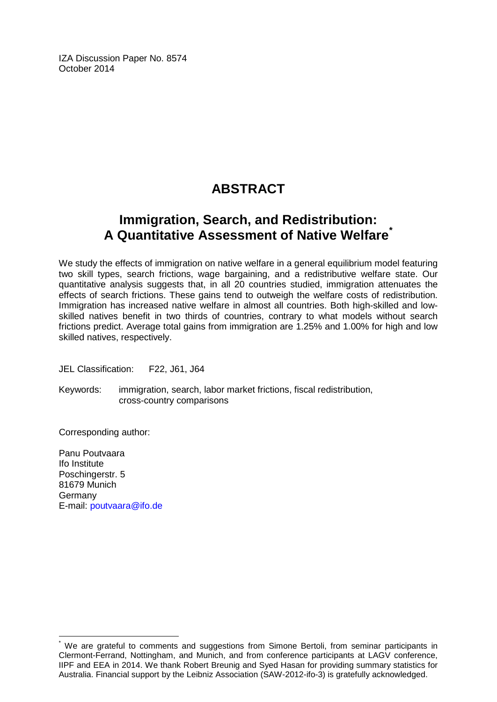IZA Discussion Paper No. 8574 October 2014

# **ABSTRACT**

# **Immigration, Search, and Redistribution: A Quantitative Assessment of Native Welfare[\\*](#page-2-0)**

We study the effects of immigration on native welfare in a general equilibrium model featuring two skill types, search frictions, wage bargaining, and a redistributive welfare state. Our quantitative analysis suggests that, in all 20 countries studied, immigration attenuates the effects of search frictions. These gains tend to outweigh the welfare costs of redistribution. Immigration has increased native welfare in almost all countries. Both high-skilled and lowskilled natives benefit in two thirds of countries, contrary to what models without search frictions predict. Average total gains from immigration are 1.25% and 1.00% for high and low skilled natives, respectively.

JEL Classification: F22, J61, J64

Keywords: immigration, search, labor market frictions, fiscal redistribution, cross-country comparisons

Corresponding author:

Panu Poutvaara Ifo Institute Poschingerstr. 5 81679 Munich Germany E-mail: [poutvaara@ifo.de](mailto:poutvaara@ifo.de)

<span id="page-2-0"></span>We are grateful to comments and suggestions from Simone Bertoli, from seminar participants in Clermont-Ferrand, Nottingham, and Munich, and from conference participants at LAGV conference, IIPF and EEA in 2014. We thank Robert Breunig and Syed Hasan for providing summary statistics for Australia. Financial support by the Leibniz Association (SAW-2012-ifo-3) is gratefully acknowledged.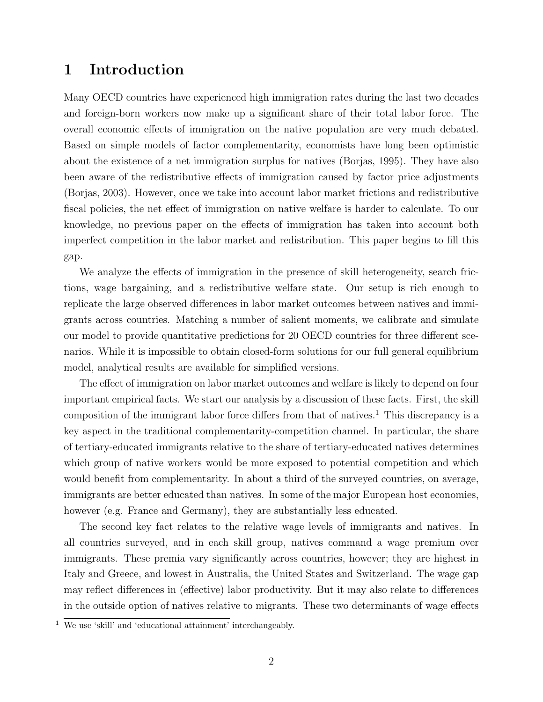## 1 Introduction

Many OECD countries have experienced high immigration rates during the last two decades and foreign-born workers now make up a significant share of their total labor force. The overall economic effects of immigration on the native population are very much debated. Based on simple models of factor complementarity, economists have long been optimistic about the existence of a net immigration surplus for natives [\(Borjas, 1995\)](#page-32-0). They have also been aware of the redistributive effects of immigration caused by factor price adjustments [\(Borjas, 2003\)](#page-32-1). However, once we take into account labor market frictions and redistributive fiscal policies, the net effect of immigration on native welfare is harder to calculate. To our knowledge, no previous paper on the effects of immigration has taken into account both imperfect competition in the labor market and redistribution. This paper begins to fill this gap.

We analyze the effects of immigration in the presence of skill heterogeneity, search frictions, wage bargaining, and a redistributive welfare state. Our setup is rich enough to replicate the large observed differences in labor market outcomes between natives and immigrants across countries. Matching a number of salient moments, we calibrate and simulate our model to provide quantitative predictions for 20 OECD countries for three different scenarios. While it is impossible to obtain closed-form solutions for our full general equilibrium model, analytical results are available for simplified versions.

The effect of immigration on labor market outcomes and welfare is likely to depend on four important empirical facts. We start our analysis by a discussion of these facts. First, the skill composition of the immigrant labor force differs from that of natives.<sup>[1](#page-3-0)</sup> This discrepancy is a key aspect in the traditional complementarity-competition channel. In particular, the share of tertiary-educated immigrants relative to the share of tertiary-educated natives determines which group of native workers would be more exposed to potential competition and which would benefit from complementarity. In about a third of the surveyed countries, on average, immigrants are better educated than natives. In some of the major European host economies, however (e.g. France and Germany), they are substantially less educated.

The second key fact relates to the relative wage levels of immigrants and natives. In all countries surveyed, and in each skill group, natives command a wage premium over immigrants. These premia vary significantly across countries, however; they are highest in Italy and Greece, and lowest in Australia, the United States and Switzerland. The wage gap may reflect differences in (effective) labor productivity. But it may also relate to differences in the outside option of natives relative to migrants. These two determinants of wage effects

<span id="page-3-0"></span><sup>&</sup>lt;sup>1</sup> We use 'skill' and 'educational attainment' interchangeably.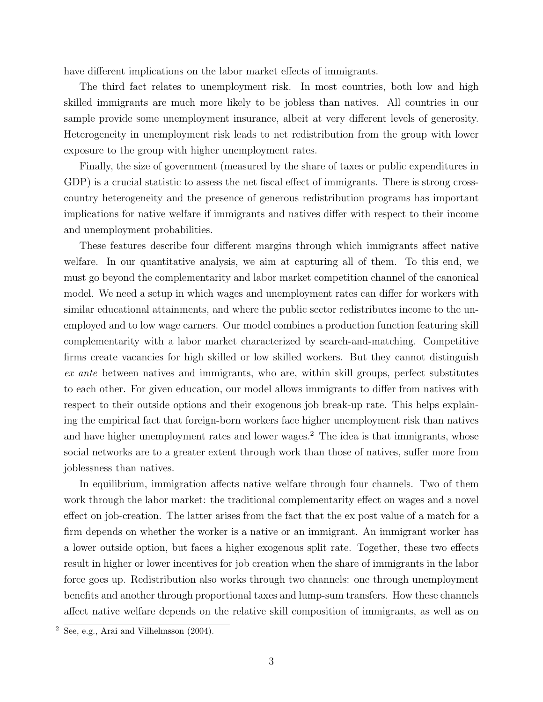have different implications on the labor market effects of immigrants.

The third fact relates to unemployment risk. In most countries, both low and high skilled immigrants are much more likely to be jobless than natives. All countries in our sample provide some unemployment insurance, albeit at very different levels of generosity. Heterogeneity in unemployment risk leads to net redistribution from the group with lower exposure to the group with higher unemployment rates.

Finally, the size of government (measured by the share of taxes or public expenditures in GDP) is a crucial statistic to assess the net fiscal effect of immigrants. There is strong crosscountry heterogeneity and the presence of generous redistribution programs has important implications for native welfare if immigrants and natives differ with respect to their income and unemployment probabilities.

These features describe four different margins through which immigrants affect native welfare. In our quantitative analysis, we aim at capturing all of them. To this end, we must go beyond the complementarity and labor market competition channel of the canonical model. We need a setup in which wages and unemployment rates can differ for workers with similar educational attainments, and where the public sector redistributes income to the unemployed and to low wage earners. Our model combines a production function featuring skill complementarity with a labor market characterized by search-and-matching. Competitive firms create vacancies for high skilled or low skilled workers. But they cannot distinguish ex ante between natives and immigrants, who are, within skill groups, perfect substitutes to each other. For given education, our model allows immigrants to differ from natives with respect to their outside options and their exogenous job break-up rate. This helps explaining the empirical fact that foreign-born workers face higher unemployment risk than natives and have higher unemployment rates and lower wages.<sup>[2](#page-4-0)</sup> The idea is that immigrants, whose social networks are to a greater extent through work than those of natives, suffer more from joblessness than natives.

In equilibrium, immigration affects native welfare through four channels. Two of them work through the labor market: the traditional complementarity effect on wages and a novel effect on job-creation. The latter arises from the fact that the ex post value of a match for a firm depends on whether the worker is a native or an immigrant. An immigrant worker has a lower outside option, but faces a higher exogenous split rate. Together, these two effects result in higher or lower incentives for job creation when the share of immigrants in the labor force goes up. Redistribution also works through two channels: one through unemployment benefits and another through proportional taxes and lump-sum transfers. How these channels affect native welfare depends on the relative skill composition of immigrants, as well as on

<span id="page-4-0"></span> $\overline{2}$  See, e.g., [Arai and Vilhelmsson](#page-32-2) [\(2004\)](#page-32-2).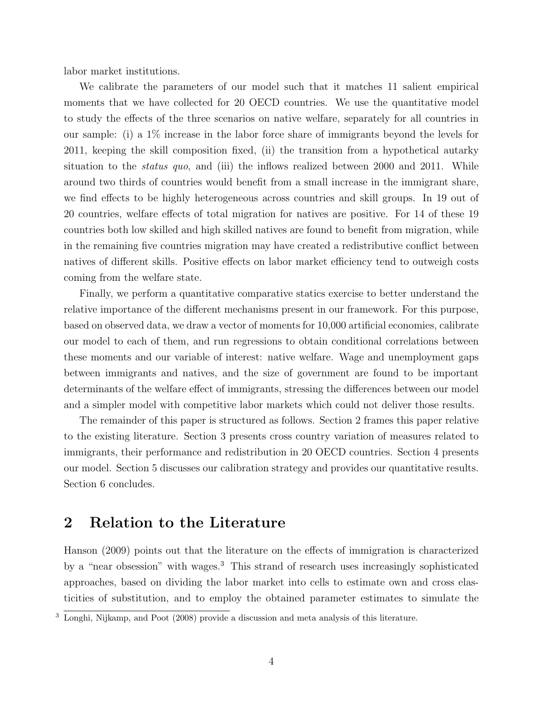labor market institutions.

We calibrate the parameters of our model such that it matches 11 salient empirical moments that we have collected for 20 OECD countries. We use the quantitative model to study the effects of the three scenarios on native welfare, separately for all countries in our sample: (i) a 1% increase in the labor force share of immigrants beyond the levels for 2011, keeping the skill composition fixed, (ii) the transition from a hypothetical autarky situation to the *status quo*, and (iii) the inflows realized between 2000 and 2011. While around two thirds of countries would benefit from a small increase in the immigrant share, we find effects to be highly heterogeneous across countries and skill groups. In 19 out of 20 countries, welfare effects of total migration for natives are positive. For 14 of these 19 countries both low skilled and high skilled natives are found to benefit from migration, while in the remaining five countries migration may have created a redistributive conflict between natives of different skills. Positive effects on labor market efficiency tend to outweigh costs coming from the welfare state.

Finally, we perform a quantitative comparative statics exercise to better understand the relative importance of the different mechanisms present in our framework. For this purpose, based on observed data, we draw a vector of moments for 10,000 artificial economies, calibrate our model to each of them, and run regressions to obtain conditional correlations between these moments and our variable of interest: native welfare. Wage and unemployment gaps between immigrants and natives, and the size of government are found to be important determinants of the welfare effect of immigrants, stressing the differences between our model and a simpler model with competitive labor markets which could not deliver those results.

The remainder of this paper is structured as follows. Section [2](#page-5-0) frames this paper relative to the existing literature. Section [3](#page-7-0) presents cross country variation of measures related to immigrants, their performance and redistribution in 20 OECD countries. Section [4](#page-10-0) presents our model. Section [5](#page-18-0) discusses our calibration strategy and provides our quantitative results. Section [6](#page-29-0) concludes.

### <span id="page-5-0"></span>2 Relation to the Literature

[Hanson](#page-33-0) [\(2009\)](#page-33-0) points out that the literature on the effects of immigration is characterized by a "near obsession" with wages.[3](#page-5-1) This strand of research uses increasingly sophisticated approaches, based on dividing the labor market into cells to estimate own and cross elasticities of substitution, and to employ the obtained parameter estimates to simulate the

<span id="page-5-1"></span><sup>&</sup>lt;sup>3</sup> [Longhi, Nijkamp, and Poot](#page-33-1) [\(2008\)](#page-33-1) provide a discussion and meta analysis of this literature.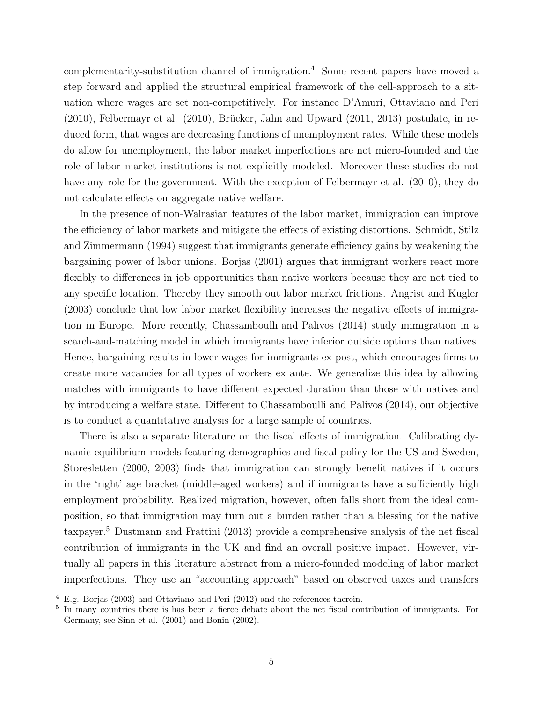complementarity-substitution channel of immigration.[4](#page-6-0) Some recent papers have moved a step forward and applied the structural empirical framework of the cell-approach to a situation where wages are set non-competitively. For instance D'Amuri, Ottaviano and Peri  $(2010)$ , Felbermayr et al.  $(2010)$ , Brücker, Jahn and Upward  $(2011, 2013)$  $(2011, 2013)$  postulate, in reduced form, that wages are decreasing functions of unemployment rates. While these models do allow for unemployment, the labor market imperfections are not micro-founded and the role of labor market institutions is not explicitly modeled. Moreover these studies do not have any role for the government. With the exception of Felbermayr et al. [\(2010\)](#page-33-2), they do not calculate effects on aggregate native welfare.

In the presence of non-Walrasian features of the labor market, immigration can improve the efficiency of labor markets and mitigate the effects of existing distortions. Schmidt, Stilz and Zimmermann [\(1994\)](#page-33-3) suggest that immigrants generate efficiency gains by weakening the bargaining power of labor unions. [Borjas](#page-32-6) [\(2001\)](#page-32-6) argues that immigrant workers react more flexibly to differences in job opportunities than native workers because they are not tied to any specific location. Thereby they smooth out labor market frictions. [Angrist and Kugler](#page-32-7) [\(2003\)](#page-32-7) conclude that low labor market flexibility increases the negative effects of immigration in Europe. More recently, [Chassamboulli and Palivos](#page-32-8) [\(2014\)](#page-32-8) study immigration in a search-and-matching model in which immigrants have inferior outside options than natives. Hence, bargaining results in lower wages for immigrants ex post, which encourages firms to create more vacancies for all types of workers ex ante. We generalize this idea by allowing matches with immigrants to have different expected duration than those with natives and by introducing a welfare state. Different to [Chassamboulli and Palivos](#page-32-8) [\(2014\)](#page-32-8), our objective is to conduct a quantitative analysis for a large sample of countries.

There is also a separate literature on the fiscal effects of immigration. Calibrating dynamic equilibrium models featuring demographics and fiscal policy for the US and Sweden, Storesletten [\(2000,](#page-34-0) [2003\)](#page-34-1) finds that immigration can strongly benefit natives if it occurs in the 'right' age bracket (middle-aged workers) and if immigrants have a sufficiently high employment probability. Realized migration, however, often falls short from the ideal composition, so that immigration may turn out a burden rather than a blessing for the native taxpayer.[5](#page-6-1) [Dustmann and Frattini](#page-33-4) [\(2013\)](#page-33-4) provide a comprehensive analysis of the net fiscal contribution of immigrants in the UK and find an overall positive impact. However, virtually all papers in this literature abstract from a micro-founded modeling of labor market imperfections. They use an "accounting approach" based on observed taxes and transfers

<span id="page-6-0"></span><sup>4</sup> E.g. [Borjas](#page-32-1) [\(2003\)](#page-32-1) and [Ottaviano and Peri](#page-33-5) [\(2012\)](#page-33-5) and the references therein.

<span id="page-6-1"></span><sup>&</sup>lt;sup>5</sup> In many countries there is has been a fierce debate about the net fiscal contribution of immigrants. For Germany, see Sinn et al. [\(2001\)](#page-34-2) and [Bonin](#page-32-9) [\(2002\)](#page-32-9).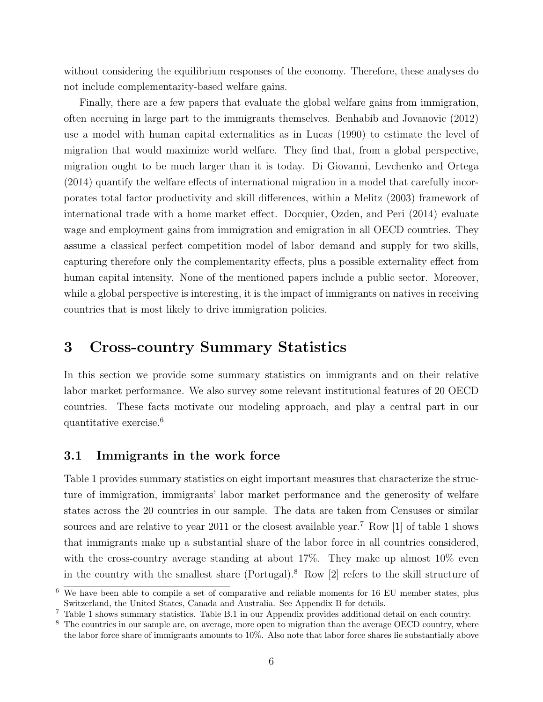without considering the equilibrium responses of the economy. Therefore, these analyses do not include complementarity-based welfare gains.

Finally, there are a few papers that evaluate the global welfare gains from immigration, often accruing in large part to the immigrants themselves. [Benhabib and Jovanovic](#page-32-10) [\(2012\)](#page-32-10) use a model with human capital externalities as in [Lucas](#page-33-6) [\(1990\)](#page-33-6) to estimate the level of migration that would maximize world welfare. They find that, from a global perspective, migration ought to be much larger than it is today. Di Giovanni, Levchenko and Ortega [\(2014\)](#page-32-11) quantify the welfare effects of international migration in a model that carefully incorporates total factor productivity and skill differences, within a [Melitz](#page-33-7) [\(2003\)](#page-33-7) framework of international trade with a home market effect. [Docquier, Ozden, and Peri](#page-32-12) [\(2014\)](#page-32-12) evaluate wage and employment gains from immigration and emigration in all OECD countries. They assume a classical perfect competition model of labor demand and supply for two skills, capturing therefore only the complementarity effects, plus a possible externality effect from human capital intensity. None of the mentioned papers include a public sector. Moreover, while a global perspective is interesting, it is the impact of immigrants on natives in receiving countries that is most likely to drive immigration policies.

# <span id="page-7-0"></span>3 Cross-country Summary Statistics

In this section we provide some summary statistics on immigrants and on their relative labor market performance. We also survey some relevant institutional features of 20 OECD countries. These facts motivate our modeling approach, and play a central part in our quantitative exercise.[6](#page-7-1)

#### 3.1 Immigrants in the work force

Table [1](#page-8-0) provides summary statistics on eight important measures that characterize the structure of immigration, immigrants' labor market performance and the generosity of welfare states across the 20 countries in our sample. The data are taken from Censuses or similar sources and are relative to year 2011 or the closest available year.<sup>[7](#page-7-2)</sup> Row [1] of table [1](#page-8-0) shows that immigrants make up a substantial share of the labor force in all countries considered, with the cross-country average standing at about  $17\%$ . They make up almost  $10\%$  even in the country with the smallest share (Portugal).[8](#page-7-3) Row [2] refers to the skill structure of

<span id="page-7-1"></span> $\overline{6}$  We have been able to compile a set of comparative and reliable moments for 16 EU member states, plus Switzerland, the United States, Canada and Australia. See Appendix [B](#page-40-0) for details.

<span id="page-7-2"></span><sup>7</sup> Table [1](#page-8-0) shows summary statistics. Table [B.1](#page-43-0) in our Appendix provides additional detail on each country.

<span id="page-7-3"></span><sup>&</sup>lt;sup>8</sup> The countries in our sample are, on average, more open to migration than the average OECD country, where the labor force share of immigrants amounts to 10%. Also note that labor force shares lie substantially above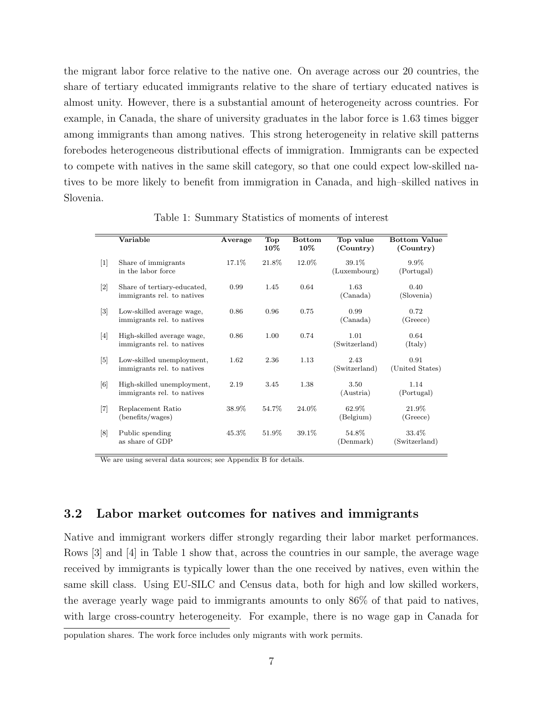the migrant labor force relative to the native one. On average across our 20 countries, the share of tertiary educated immigrants relative to the share of tertiary educated natives is almost unity. However, there is a substantial amount of heterogeneity across countries. For example, in Canada, the share of university graduates in the labor force is 1.63 times bigger among immigrants than among natives. This strong heterogeneity in relative skill patterns forebodes heterogeneous distributional effects of immigration. Immigrants can be expected to compete with natives in the same skill category, so that one could expect low-skilled natives to be more likely to benefit from immigration in Canada, and high–skilled natives in Slovenia.

<span id="page-8-0"></span>

|                              | Variable                                                  | Average | <b>Top</b><br>$10\%$ | <b>Bottom</b><br>$10\%$ | Top value<br>(Country) | <b>Bottom Value</b><br>(Country) |
|------------------------------|-----------------------------------------------------------|---------|----------------------|-------------------------|------------------------|----------------------------------|
| $[1]$                        | Share of immigrants<br>in the labor force                 | 17.1\%  | 21.8%                | 12.0%                   | 39.1%<br>(Luxembourg)  | $9.9\%$<br>(Portugal)            |
| $\left\lceil 2 \right\rceil$ | Share of tertiary-educated,<br>immigrants rel. to natives | 0.99    | 1.45                 | 0.64                    | 1.63<br>(Canada)       | 0.40<br>(Slovenia)               |
| $\left\lceil 3 \right\rceil$ | Low-skilled average wage,<br>immigrants rel. to natives   | 0.86    | 0.96                 | 0.75                    | 0.99<br>(Canada)       | 0.72<br>(Greece)                 |
| $\lceil 4 \rceil$            | High-skilled average wage,<br>immigrants rel. to natives  | 0.86    | 1.00                 | 0.74                    | 1.01<br>(Switzerland)  | 0.64<br>$(\mathrm{Italy})$       |
| $\lceil 5 \rceil$            | Low-skilled unemployment,<br>immigrants rel. to natives   | 1.62    | 2.36                 | 1.13                    | 2.43<br>(Switzerland)  | 0.91<br>(United States)          |
| [6]                          | High-skilled unemployment,<br>immigrants rel. to natives  | 2.19    | 3.45                 | 1.38                    | 3.50<br>(Austria)      | 1.14<br>(Portugal)               |
| $[7]$                        | Replacement Ratio<br>(benefits/wages)                     | 38.9%   | 54.7%                | 24.0%                   | 62.9%<br>(Belgium)     | 21.9%<br>(Greece)                |
| $\lceil 8 \rceil$            | Public spending<br>as share of GDP                        | 45.3%   | 51.9%                | 39.1%                   | 54.8%<br>(Denmark)     | 33.4%<br>(Switzerland)           |

Table 1: Summary Statistics of moments of interest

We are using several data sources; see Appendix [B](#page-40-0) for details.

#### 3.2 Labor market outcomes for natives and immigrants

Native and immigrant workers differ strongly regarding their labor market performances. Rows [3] and [4] in Table [1](#page-8-0) show that, across the countries in our sample, the average wage received by immigrants is typically lower than the one received by natives, even within the same skill class. Using EU-SILC and Census data, both for high and low skilled workers, the average yearly wage paid to immigrants amounts to only 86% of that paid to natives, with large cross-country heterogeneity. For example, there is no wage gap in Canada for

population shares. The work force includes only migrants with work permits.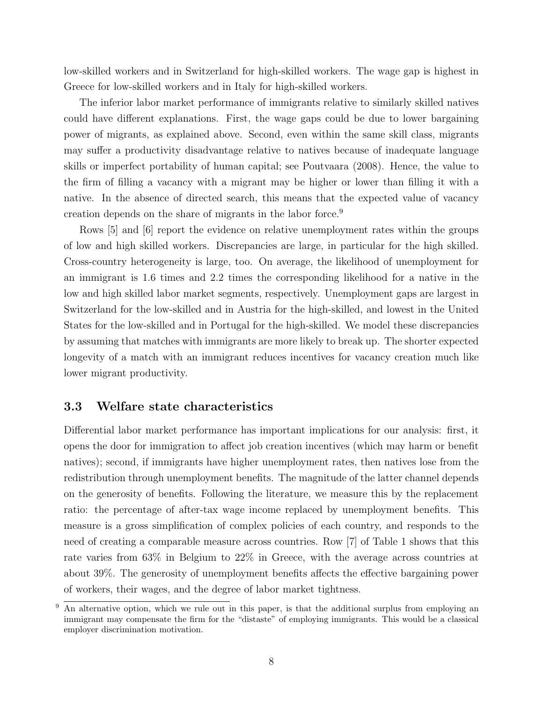low-skilled workers and in Switzerland for high-skilled workers. The wage gap is highest in Greece for low-skilled workers and in Italy for high-skilled workers.

The inferior labor market performance of immigrants relative to similarly skilled natives could have different explanations. First, the wage gaps could be due to lower bargaining power of migrants, as explained above. Second, even within the same skill class, migrants may suffer a productivity disadvantage relative to natives because of inadequate language skills or imperfect portability of human capital; see [Poutvaara](#page-33-8) [\(2008\)](#page-33-8). Hence, the value to the firm of filling a vacancy with a migrant may be higher or lower than filling it with a native. In the absence of directed search, this means that the expected value of vacancy creation depends on the share of migrants in the labor force.[9](#page-9-0)

Rows [5] and [6] report the evidence on relative unemployment rates within the groups of low and high skilled workers. Discrepancies are large, in particular for the high skilled. Cross-country heterogeneity is large, too. On average, the likelihood of unemployment for an immigrant is 1.6 times and 2.2 times the corresponding likelihood for a native in the low and high skilled labor market segments, respectively. Unemployment gaps are largest in Switzerland for the low-skilled and in Austria for the high-skilled, and lowest in the United States for the low-skilled and in Portugal for the high-skilled. We model these discrepancies by assuming that matches with immigrants are more likely to break up. The shorter expected longevity of a match with an immigrant reduces incentives for vacancy creation much like lower migrant productivity.

#### 3.3 Welfare state characteristics

Differential labor market performance has important implications for our analysis: first, it opens the door for immigration to affect job creation incentives (which may harm or benefit natives); second, if immigrants have higher unemployment rates, then natives lose from the redistribution through unemployment benefits. The magnitude of the latter channel depends on the generosity of benefits. Following the literature, we measure this by the replacement ratio: the percentage of after-tax wage income replaced by unemployment benefits. This measure is a gross simplification of complex policies of each country, and responds to the need of creating a comparable measure across countries. Row [7] of Table [1](#page-8-0) shows that this rate varies from 63% in Belgium to 22% in Greece, with the average across countries at about 39%. The generosity of unemployment benefits affects the effective bargaining power of workers, their wages, and the degree of labor market tightness.

<span id="page-9-0"></span><sup>&</sup>lt;sup>9</sup> An alternative option, which we rule out in this paper, is that the additional surplus from employing an immigrant may compensate the firm for the "distaste" of employing immigrants. This would be a classical employer discrimination motivation.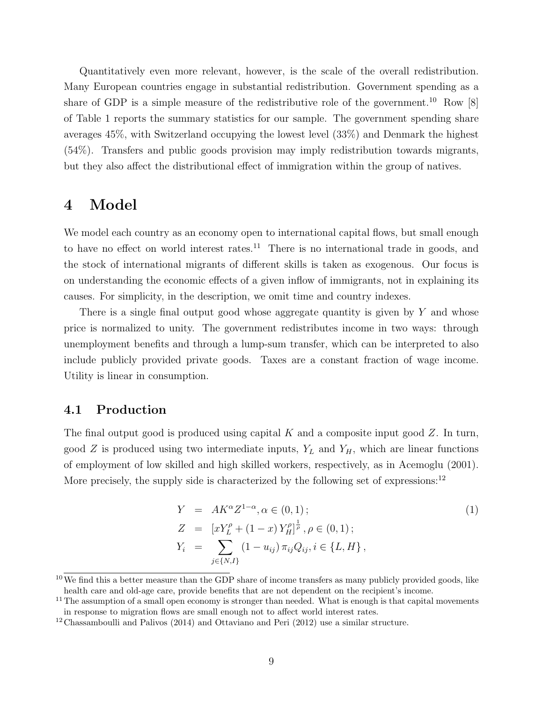Quantitatively even more relevant, however, is the scale of the overall redistribution. Many European countries engage in substantial redistribution. Government spending as a share of GDP is a simple measure of the redistributive role of the government.<sup>[10](#page-10-1)</sup> Row  $[8]$ of Table [1](#page-8-0) reports the summary statistics for our sample. The government spending share averages 45%, with Switzerland occupying the lowest level (33%) and Denmark the highest (54%). Transfers and public goods provision may imply redistribution towards migrants, but they also affect the distributional effect of immigration within the group of natives.

## <span id="page-10-0"></span>4 Model

We model each country as an economy open to international capital flows, but small enough to have no effect on world interest rates.<sup>[11](#page-10-2)</sup> There is no international trade in goods, and the stock of international migrants of different skills is taken as exogenous. Our focus is on understanding the economic effects of a given inflow of immigrants, not in explaining its causes. For simplicity, in the description, we omit time and country indexes.

There is a single final output good whose aggregate quantity is given by Y and whose price is normalized to unity. The government redistributes income in two ways: through unemployment benefits and through a lump-sum transfer, which can be interpreted to also include publicly provided private goods. Taxes are a constant fraction of wage income. Utility is linear in consumption.

#### 4.1 Production

The final output good is produced using capital  $K$  and a composite input good  $Z$ . In turn, good Z is produced using two intermediate inputs,  $Y_L$  and  $Y_H$ , which are linear functions of employment of low skilled and high skilled workers, respectively, as in [Acemoglu](#page-32-13) [\(2001\)](#page-32-13). More precisely, the supply side is characterized by the following set of expressions:<sup>[12](#page-10-3)</sup>

<span id="page-10-4"></span>
$$
Y = AK^{\alpha}Z^{1-\alpha}, \alpha \in (0,1);
$$
  
\n
$$
Z = [xY_{L}^{\rho} + (1-x)Y_{H}^{\rho}]^{\frac{1}{\rho}}, \rho \in (0,1);
$$
  
\n
$$
Y_{i} = \sum_{j \in \{N,I\}} (1 - u_{ij}) \pi_{ij} Q_{ij}, i \in \{L, H\},
$$
\n
$$
(1)
$$

<span id="page-10-1"></span> $10$  We find this a better measure than the GDP share of income transfers as many publicly provided goods, like health care and old-age care, provide benefits that are not dependent on the recipient's income.

<span id="page-10-2"></span> $11$ The assumption of a small open economy is stronger than needed. What is enough is that capital movements in response to migration flows are small enough not to affect world interest rates.

<span id="page-10-3"></span><sup>12</sup>[Chassamboulli and Palivos](#page-32-8) [\(2014\)](#page-32-8) and [Ottaviano and Peri](#page-33-5) [\(2012\)](#page-33-5) use a similar structure.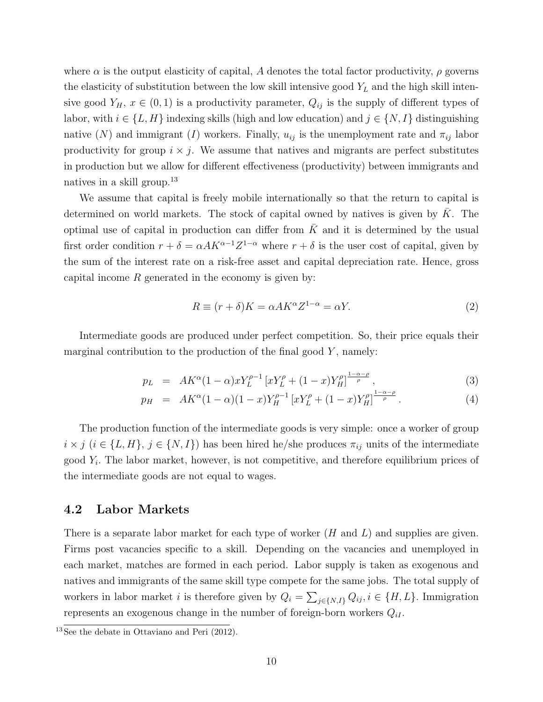where  $\alpha$  is the output elasticity of capital, A denotes the total factor productivity,  $\rho$  governs the elasticity of substitution between the low skill intensive good  $Y_L$  and the high skill intensive good  $Y_H$ ,  $x \in (0,1)$  is a productivity parameter,  $Q_{ij}$  is the supply of different types of labor, with  $i \in \{L, H\}$  indexing skills (high and low education) and  $j \in \{N, I\}$  distinguishing native (N) and immigrant (I) workers. Finally,  $u_{ij}$  is the unemployment rate and  $\pi_{ij}$  labor productivity for group  $i \times j$ . We assume that natives and migrants are perfect substitutes in production but we allow for different effectiveness (productivity) between immigrants and natives in a skill group.[13](#page-11-0)

We assume that capital is freely mobile internationally so that the return to capital is determined on world markets. The stock of capital owned by natives is given by  $\bar{K}$ . The optimal use of capital in production can differ from  $\overline{K}$  and it is determined by the usual first order condition  $r + \delta = \alpha A K^{\alpha-1} Z^{1-\alpha}$  where  $r + \delta$  is the user cost of capital, given by the sum of the interest rate on a risk-free asset and capital depreciation rate. Hence, gross capital income  $R$  generated in the economy is given by:

<span id="page-11-1"></span>
$$
R \equiv (r + \delta)K = \alpha A K^{\alpha} Z^{1-\alpha} = \alpha Y. \tag{2}
$$

Intermediate goods are produced under perfect competition. So, their price equals their marginal contribution to the production of the final good  $Y$ , namely:

<span id="page-11-2"></span>
$$
p_L = AK^{\alpha}(1-\alpha)xY_L^{\rho-1}[xY_L^{\rho}+(1-x)Y_H^{\rho}]^{\frac{1-\alpha-\rho}{\rho}}, \qquad (3)
$$

$$
p_H = AK^{\alpha}(1-\alpha)(1-x)Y_H^{\rho-1}[xY_L^{\rho}+(1-x)Y_H^{\rho}]^{\frac{1-\alpha-\rho}{\rho}}.
$$
\n(4)

The production function of the intermediate goods is very simple: once a worker of group  $i \times j$  ( $i \in \{L, H\}, j \in \{N, I\}$ ) has been hired he/she produces  $\pi_{ij}$  units of the intermediate good  $Y_i$ . The labor market, however, is not competitive, and therefore equilibrium prices of the intermediate goods are not equal to wages.

#### 4.2 Labor Markets

There is a separate labor market for each type of worker  $(H \text{ and } L)$  and supplies are given. Firms post vacancies specific to a skill. Depending on the vacancies and unemployed in each market, matches are formed in each period. Labor supply is taken as exogenous and natives and immigrants of the same skill type compete for the same jobs. The total supply of workers in labor market *i* is therefore given by  $Q_i = \sum_{j \in \{N, I\}} Q_{ij}, i \in \{H, L\}$ . Immigration represents an exogenous change in the number of foreign-born workers  $Q_{iI}$ .

<span id="page-11-0"></span> $13\text{ See the debate in Ottaviano and Peri } (2012).$  $13\text{ See the debate in Ottaviano and Peri } (2012).$  $13\text{ See the debate in Ottaviano and Peri } (2012).$  $13\text{ See the debate in Ottaviano and Peri } (2012).$  $13\text{ See the debate in Ottaviano and Peri } (2012).$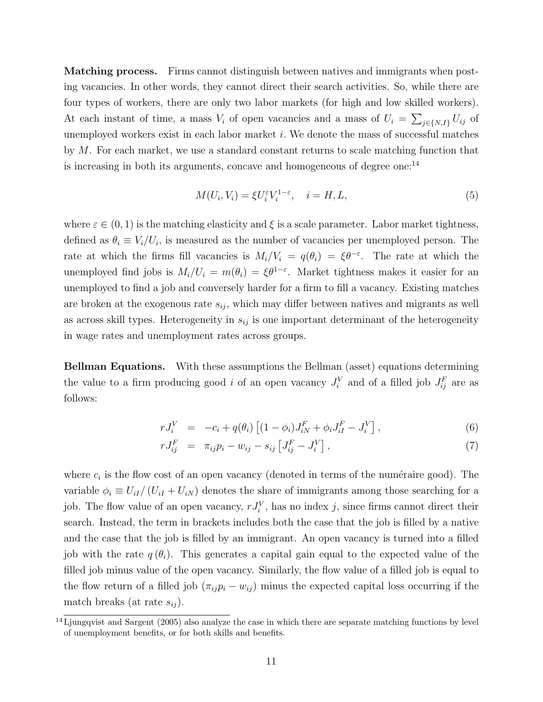Matching process. Firms cannot distinguish between natives and immigrants when posting vacancies. In other words, they cannot direct their search activities. So, while there are four types of workers, there are only two labor markets (for high and low skilled workers). At each instant of time, a mass  $V_i$  of open vacancies and a mass of  $U_i = \sum_{j \in \{N, I\}} U_{ij}$  of unemployed workers exist in each labor market  $i$ . We denote the mass of successful matches by M. For each market, we use a standard constant returns to scale matching function that is increasing in both its arguments, concave and homogeneous of degree one:<sup>[14](#page-12-0)</sup>

$$
M(U_i, V_i) = \xi U_i^{\varepsilon} V_i^{1-\varepsilon}, \quad i = H, L,
$$
\n<sup>(5)</sup>

where  $\varepsilon \in (0, 1)$  is the matching elasticity and  $\xi$  is a scale parameter. Labor market tightness, defined as  $\theta_i \equiv V_i/U_i$ , is measured as the number of vacancies per unemployed person. The rate at which the firms fill vacancies is  $M_i/V_i = q(\theta_i) = \xi \theta^{-\varepsilon}$ . The rate at which the unemployed find jobs is  $M_i/U_i = m(\theta_i) = \xi \theta^{1-\epsilon}$ . Market tightness makes it easier for an unemployed to find a job and conversely harder for a firm to fill a vacancy. Existing matches are broken at the exogenous rate  $s_{ij}$ , which may differ between natives and migrants as well as across skill types. Heterogeneity in  $s_{ij}$  is one important determinant of the heterogeneity in wage rates and unemployment rates across groups.

Bellman Equations. With these assumptions the Bellman (asset) equations determining the value to a firm producing good *i* of an open vacancy  $J_i^V$  and of a filled job  $J_{ij}^F$  are as follows:

<span id="page-12-1"></span>
$$
rJ_i^V = -c_i + q(\theta_i) \left[ (1 - \phi_i) J_{iN}^F + \phi_i J_{iI}^F - J_i^V \right],
$$
\n(6)

$$
rJ_{ij}^F = \pi_{ij}p_i - w_{ij} - s_{ij} \left[ J_{ij}^F - J_i^V \right], \tag{7}
$$

where  $c_i$  is the flow cost of an open vacancy (denoted in terms of the numéraire good). The variable  $\phi_i \equiv U_{iI}/(U_{iI} + U_{iN})$  denotes the share of immigrants among those searching for a job. The flow value of an open vacancy,  $rJ_i^V$ , has no index j, since firms cannot direct their search. Instead, the term in brackets includes both the case that the job is filled by a native and the case that the job is filled by an immigrant. An open vacancy is turned into a filled job with the rate  $q(\theta_i)$ . This generates a capital gain equal to the expected value of the filled job minus value of the open vacancy. Similarly, the flow value of a filled job is equal to the flow return of a filled job  $(\pi_{ij}p_i - w_{ij})$  minus the expected capital loss occurring if the match breaks (at rate  $s_{ij}$ ).

<span id="page-12-0"></span> $14$  [Ljungqvist and Sargent](#page-33-9) [\(2005\)](#page-33-9) also analyze the case in which there are separate matching functions by level of unemployment benefits, or for both skills and benefits.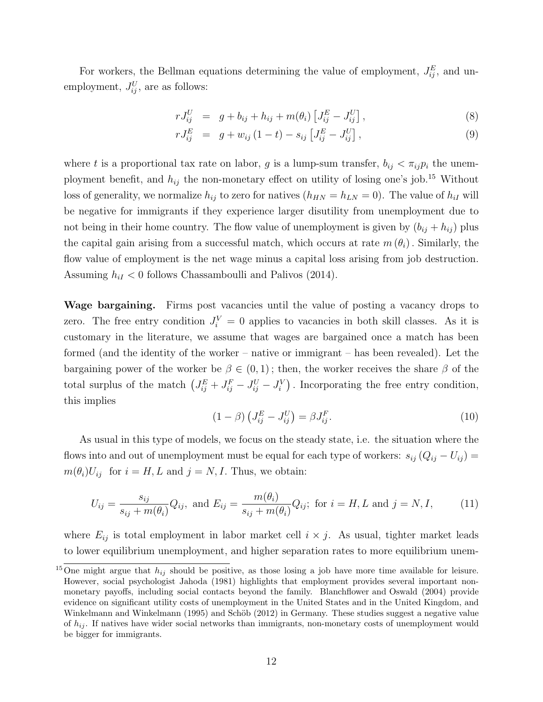For workers, the Bellman equations determining the value of employment,  $J_{ij}^E$ , and unemployment,  $J_{ij}^U$ , are as follows:

<span id="page-13-1"></span>
$$
rJ_{ij}^U = g + b_{ij} + h_{ij} + m(\theta_i) \left[ J_{ij}^E - J_{ij}^U \right], \tag{8}
$$

$$
rJ_{ij}^{E} = g + w_{ij} (1-t) - s_{ij} [J_{ij}^{E} - J_{ij}^{U}], \qquad (9)
$$

where t is a proportional tax rate on labor, g is a lump-sum transfer,  $b_{ij} < \pi_{ij} p_i$  the unemployment benefit, and  $h_{ij}$  the non-monetary effect on utility of losing one's job.<sup>[15](#page-13-0)</sup> Without loss of generality, we normalize  $h_{ij}$  to zero for natives  $(h_{HN} = h_{LN} = 0)$ . The value of  $h_{iI}$  will be negative for immigrants if they experience larger disutility from unemployment due to not being in their home country. The flow value of unemployment is given by  $(b_{ij} + h_{ij})$  plus the capital gain arising from a successful match, which occurs at rate  $m(\theta_i)$ . Similarly, the flow value of employment is the net wage minus a capital loss arising from job destruction. Assuming  $h_{iI} < 0$  follows [Chassamboulli and Palivos](#page-32-8) [\(2014\)](#page-32-8).

Wage bargaining. Firms post vacancies until the value of posting a vacancy drops to zero. The free entry condition  $J_i^V = 0$  applies to vacancies in both skill classes. As it is customary in the literature, we assume that wages are bargained once a match has been formed (and the identity of the worker – native or immigrant – has been revealed). Let the bargaining power of the worker be  $\beta \in (0,1)$ ; then, the worker receives the share  $\beta$  of the total surplus of the match  $(J_{ij}^E + J_{ij}^F - J_{ij}^U - J_i^V)$ . Incorporating the free entry condition, this implies

<span id="page-13-2"></span>
$$
(1 - \beta) \left( J_{ij}^E - J_{ij}^U \right) = \beta J_{ij}^F. \tag{10}
$$

As usual in this type of models, we focus on the steady state, i.e. the situation where the flows into and out of unemployment must be equal for each type of workers:  $s_{ij} (Q_{ij} - U_{ij}) =$  $m(\theta_i)U_{ij}$  for  $i = H, L$  and  $j = N, I$ . Thus, we obtain:

<span id="page-13-3"></span>
$$
U_{ij} = \frac{s_{ij}}{s_{ij} + m(\theta_i)} Q_{ij}, \text{ and } E_{ij} = \frac{m(\theta_i)}{s_{ij} + m(\theta_i)} Q_{ij}; \text{ for } i = H, L \text{ and } j = N, I,
$$
 (11)

where  $E_{ij}$  is total employment in labor market cell  $i \times j$ . As usual, tighter market leads to lower equilibrium unemployment, and higher separation rates to more equilibrium unem-

<span id="page-13-0"></span><sup>&</sup>lt;sup>15</sup>One might argue that  $h_{ij}$  should be positive, as those losing a job have more time available for leisure. However, social psychologist [Jahoda](#page-33-10) [\(1981\)](#page-33-10) highlights that employment provides several important nonmonetary payoffs, including social contacts beyond the family. [Blanchflower and Oswald](#page-32-14) [\(2004\)](#page-32-14) provide evidence on significant utility costs of unemployment in the United States and in the United Kingdom, and Winkelmann and Winkelmann [\(1995\)](#page-34-3) and Schöb [\(2012\)](#page-33-11) in Germany. These studies suggest a negative value of  $h_{ij}$ . If natives have wider social networks than immigrants, non-monetary costs of unemployment would be bigger for immigrants.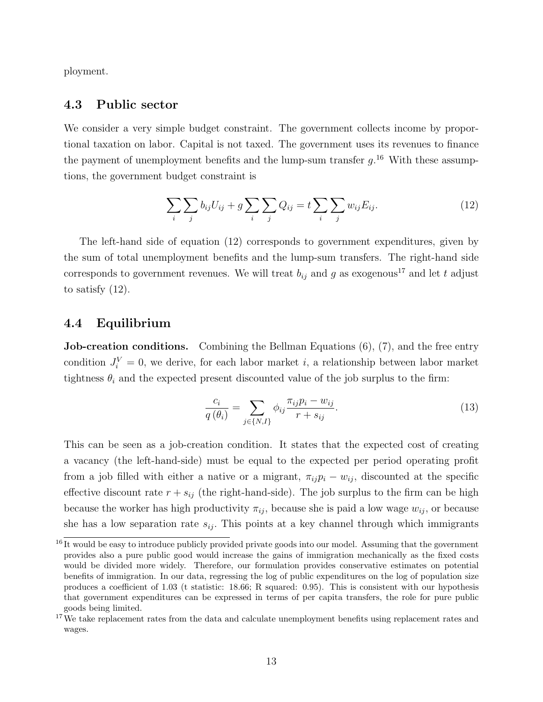ployment.

#### 4.3 Public sector

We consider a very simple budget constraint. The government collects income by proportional taxation on labor. Capital is not taxed. The government uses its revenues to finance the payment of unemployment benefits and the lump-sum transfer  $g^{16}$  $g^{16}$  $g^{16}$  With these assumptions, the government budget constraint is

<span id="page-14-1"></span>
$$
\sum_{i} \sum_{j} b_{ij} U_{ij} + g \sum_{i} \sum_{j} Q_{ij} = t \sum_{i} \sum_{j} w_{ij} E_{ij}.
$$
 (12)

The left-hand side of equation [\(12\)](#page-14-1) corresponds to government expenditures, given by the sum of total unemployment benefits and the lump-sum transfers. The right-hand side corresponds to government revenues. We will treat  $b_{ij}$  and g as exogenous<sup>[17](#page-14-2)</sup> and let t adjust to satisfy  $(12)$ .

#### 4.4 Equilibrium

Job-creation conditions. Combining the Bellman Equations [\(6\)](#page-12-1), [\(7\)](#page-12-1), and the free entry condition  $J_i^V = 0$ , we derive, for each labor market *i*, a relationship between labor market tightness  $\theta_i$  and the expected present discounted value of the job surplus to the firm:

<span id="page-14-3"></span>
$$
\frac{c_i}{q(\theta_i)} = \sum_{j \in \{N, I\}} \phi_{ij} \frac{\pi_{ij} p_i - w_{ij}}{r + s_{ij}}.
$$
\n(13)

This can be seen as a job-creation condition. It states that the expected cost of creating a vacancy (the left-hand-side) must be equal to the expected per period operating profit from a job filled with either a native or a migrant,  $\pi_{ij}p_i - w_{ij}$ , discounted at the specific effective discount rate  $r + s_{ij}$  (the right-hand-side). The job surplus to the firm can be high because the worker has high productivity  $\pi_{ij}$ , because she is paid a low wage  $w_{ij}$ , or because she has a low separation rate  $s_{ij}$ . This points at a key channel through which immigrants

<span id="page-14-0"></span> $^{16}$ It would be easy to introduce publicly provided private goods into our model. Assuming that the government provides also a pure public good would increase the gains of immigration mechanically as the fixed costs would be divided more widely. Therefore, our formulation provides conservative estimates on potential benefits of immigration. In our data, regressing the log of public expenditures on the log of population size produces a coefficient of 1.03 (t statistic: 18.66; R squared: 0.95). This is consistent with our hypothesis that government expenditures can be expressed in terms of per capita transfers, the role for pure public goods being limited.

<span id="page-14-2"></span><sup>&</sup>lt;sup>17</sup>We take replacement rates from the data and calculate unemployment benefits using replacement rates and wages.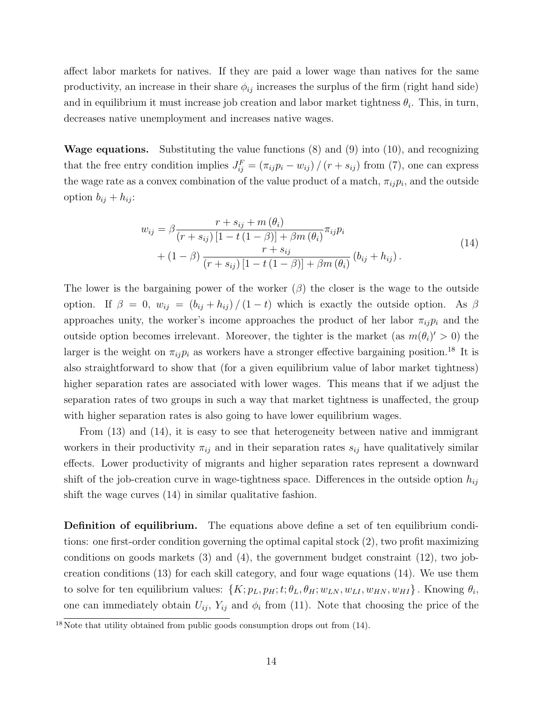affect labor markets for natives. If they are paid a lower wage than natives for the same productivity, an increase in their share  $\phi_{ij}$  increases the surplus of the firm (right hand side) and in equilibrium it must increase job creation and labor market tightness  $\theta_i$ . This, in turn, decreases native unemployment and increases native wages.

**Wage equations.** Substituting the value functions  $(8)$  and  $(9)$  into  $(10)$ , and recognizing that the free entry condition implies  $J_{ij}^F = (\pi_{ij}p_i - w_{ij})/(r + s_{ij})$  from [\(7\)](#page-12-1), one can express the wage rate as a convex combination of the value product of a match,  $\pi_{ij}p_i$ , and the outside option  $b_{ij} + h_{ij}$ :

$$
w_{ij} = \beta \frac{r + s_{ij} + m(\theta_i)}{(r + s_{ij}) [1 - t(1 - \beta)] + \beta m(\theta_i)} \pi_{ij} p_i
$$
  
+ 
$$
(1 - \beta) \frac{r + s_{ij}}{(r + s_{ij}) [1 - t(1 - \beta)] + \beta m(\theta_i)} (b_{ij} + h_{ij}).
$$
 (14)

<span id="page-15-1"></span>The lower is the bargaining power of the worker  $(\beta)$  the closer is the wage to the outside option. If  $\beta = 0$ ,  $w_{ij} = (b_{ij} + h_{ij})/(1-t)$  which is exactly the outside option. As  $\beta$ approaches unity, the worker's income approaches the product of her labor  $\pi_{ij}p_i$  and the outside option becomes irrelevant. Moreover, the tighter is the market (as  $m(\theta_i)'>0$ ) the larger is the weight on  $\pi_{ij}p_i$  as workers have a stronger effective bargaining position.<sup>[18](#page-15-0)</sup> It is also straightforward to show that (for a given equilibrium value of labor market tightness) higher separation rates are associated with lower wages. This means that if we adjust the separation rates of two groups in such a way that market tightness is unaffected, the group with higher separation rates is also going to have lower equilibrium wages.

From [\(13\)](#page-14-3) and [\(14\)](#page-15-1), it is easy to see that heterogeneity between native and immigrant workers in their productivity  $\pi_{ij}$  and in their separation rates  $s_{ij}$  have qualitatively similar effects. Lower productivity of migrants and higher separation rates represent a downward shift of the job-creation curve in wage-tightness space. Differences in the outside option  $h_{ij}$ shift the wage curves [\(14\)](#page-15-1) in similar qualitative fashion.

Definition of equilibrium. The equations above define a set of ten equilibrium conditions: one first-order condition governing the optimal capital stock [\(2\)](#page-11-1), two profit maximizing conditions on goods markets [\(3\)](#page-11-2) and [\(4\)](#page-11-2), the government budget constraint [\(12\)](#page-14-1), two jobcreation conditions [\(13\)](#page-14-3) for each skill category, and four wage equations [\(14\)](#page-15-1). We use them to solve for ten equilibrium values:  $\{K; p_L, p_H; t; \theta_L, \theta_H; w_{LN}, w_{LI}, w_{HN}, w_{HI}\}$ . Knowing  $\theta_i$ , one can immediately obtain  $U_{ij}$ ,  $Y_{ij}$  and  $\phi_i$  from [\(11\)](#page-13-3). Note that choosing the price of the

<span id="page-15-0"></span> $18\text{ Note that utility obtained from public goods consumption drops out from } (14).$  $18\text{ Note that utility obtained from public goods consumption drops out from } (14).$  $18\text{ Note that utility obtained from public goods consumption drops out from } (14).$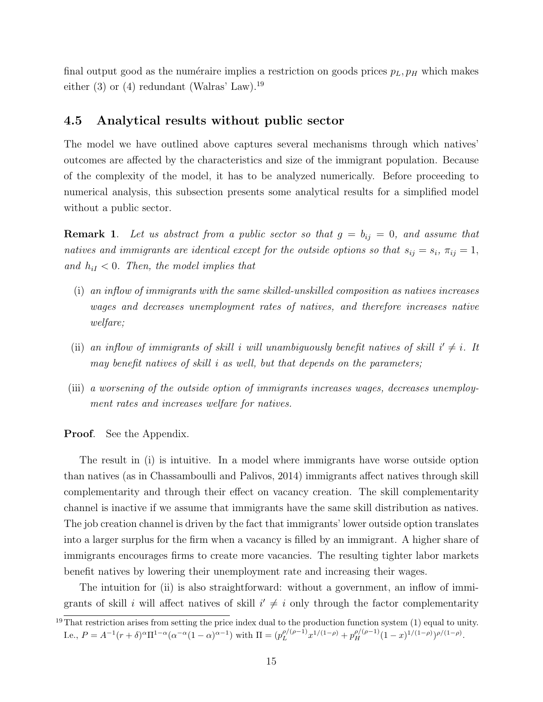final output good as the numéraire implies a restriction on goods prices  $p_L, p_H$  which makes either  $(3)$  or  $(4)$  redundant (Walras' Law).<sup>[19](#page-16-0)</sup>

#### 4.5 Analytical results without public sector

The model we have outlined above captures several mechanisms through which natives' outcomes are affected by the characteristics and size of the immigrant population. Because of the complexity of the model, it has to be analyzed numerically. Before proceeding to numerical analysis, this subsection presents some analytical results for a simplified model without a public sector.

**Remark 1.** Let us abstract from a public sector so that  $g = b_{ij} = 0$ , and assume that natives and immigrants are identical except for the outside options so that  $s_{ij} = s_i$ ,  $\pi_{ij} = 1$ , and  $h_{iI} < 0$ . Then, the model implies that

- (i) an inflow of immigrants with the same skilled-unskilled composition as natives increases wages and decreases unemployment rates of natives, and therefore increases native welfare;
- (ii) an inflow of immigrants of skill i will unambiguously benefit natives of skill  $i' \neq i$ . It may benefit natives of skill i as well, but that depends on the parameters;
- (iii) a worsening of the outside option of immigrants increases wages, decreases unemployment rates and increases welfare for natives.

**Proof.** See the Appendix.

The result in (i) is intuitive. In a model where immigrants have worse outside option than natives (as in [Chassamboulli and Palivos, 2014\)](#page-32-8) immigrants affect natives through skill complementarity and through their effect on vacancy creation. The skill complementarity channel is inactive if we assume that immigrants have the same skill distribution as natives. The job creation channel is driven by the fact that immigrants' lower outside option translates into a larger surplus for the firm when a vacancy is filled by an immigrant. A higher share of immigrants encourages firms to create more vacancies. The resulting tighter labor markets benefit natives by lowering their unemployment rate and increasing their wages.

The intuition for (ii) is also straightforward: without a government, an inflow of immigrants of skill i will affect natives of skill  $i' \neq i$  only through the factor complementarity

<span id="page-16-0"></span> $19$  That restriction arises from setting the price index dual to the production function system  $(1)$  equal to unity. I.e.,  $P = A^{-1}(r+\delta)^{\alpha} \Pi^{1-\alpha} (\alpha^{-\alpha}(1-\alpha)^{\alpha-1})$  with  $\Pi = (p_L^{\rho/(\rho-1)})$  $p_l^{(\rho-1)}x^{1/(1-\rho)}+p_H^{\rho/(\rho-1)}(1-x)^{1/(1-\rho)})^{\rho/(1-\rho)}.$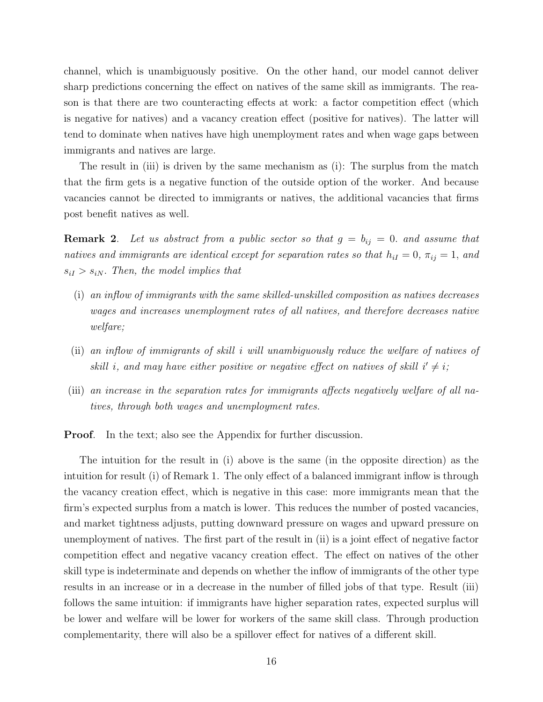channel, which is unambiguously positive. On the other hand, our model cannot deliver sharp predictions concerning the effect on natives of the same skill as immigrants. The reason is that there are two counteracting effects at work: a factor competition effect (which is negative for natives) and a vacancy creation effect (positive for natives). The latter will tend to dominate when natives have high unemployment rates and when wage gaps between immigrants and natives are large.

The result in (iii) is driven by the same mechanism as (i): The surplus from the match that the firm gets is a negative function of the outside option of the worker. And because vacancies cannot be directed to immigrants or natives, the additional vacancies that firms post benefit natives as well.

**Remark 2.** Let us abstract from a public sector so that  $g = b_{ij} = 0$ . and assume that natives and immigrants are identical except for separation rates so that  $h_{iI} = 0$ ,  $\pi_{ij} = 1$ , and  $s_{iI} > s_{iN}$ . Then, the model implies that

- (i) an inflow of immigrants with the same skilled-unskilled composition as natives decreases wages and increases unemployment rates of all natives, and therefore decreases native welfare;
- (ii) an inflow of immigrants of skill i will unambiguously reduce the welfare of natives of skill i, and may have either positive or negative effect on natives of skill  $i' \neq i$ ;
- (iii) an increase in the separation rates for immigrants affects negatively welfare of all natives, through both wages and unemployment rates.

**Proof.** In the text; also see the Appendix for further discussion.

The intuition for the result in (i) above is the same (in the opposite direction) as the intuition for result (i) of Remark 1. The only effect of a balanced immigrant inflow is through the vacancy creation effect, which is negative in this case: more immigrants mean that the firm's expected surplus from a match is lower. This reduces the number of posted vacancies, and market tightness adjusts, putting downward pressure on wages and upward pressure on unemployment of natives. The first part of the result in (ii) is a joint effect of negative factor competition effect and negative vacancy creation effect. The effect on natives of the other skill type is indeterminate and depends on whether the inflow of immigrants of the other type results in an increase or in a decrease in the number of filled jobs of that type. Result (iii) follows the same intuition: if immigrants have higher separation rates, expected surplus will be lower and welfare will be lower for workers of the same skill class. Through production complementarity, there will also be a spillover effect for natives of a different skill.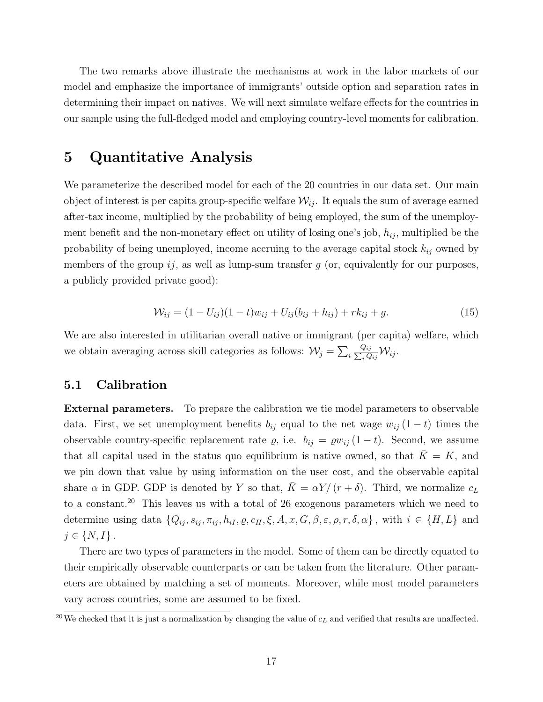The two remarks above illustrate the mechanisms at work in the labor markets of our model and emphasize the importance of immigrants' outside option and separation rates in determining their impact on natives. We will next simulate welfare effects for the countries in our sample using the full-fledged model and employing country-level moments for calibration.

### <span id="page-18-0"></span>5 Quantitative Analysis

We parameterize the described model for each of the 20 countries in our data set. Our main object of interest is per capita group-specific welfare  $\mathcal{W}_{ij}$ . It equals the sum of average earned after-tax income, multiplied by the probability of being employed, the sum of the unemployment benefit and the non-monetary effect on utility of losing one's job,  $h_{ij}$ , multiplied be the probability of being unemployed, income accruing to the average capital stock  $k_{ij}$  owned by members of the group  $ij$ , as well as lump-sum transfer g (or, equivalently for our purposes, a publicly provided private good):

$$
\mathcal{W}_{ij} = (1 - U_{ij})(1 - t)w_{ij} + U_{ij}(b_{ij} + h_{ij}) + rk_{ij} + g.
$$
\n(15)

We are also interested in utilitarian overall native or immigrant (per capita) welfare, which we obtain averaging across skill categories as follows:  $\mathcal{W}_j = \sum_i \frac{1}{\sum_i j}$  $Q_{ij}$  $\frac{d_{ij}}{d_{ij}}\mathcal{W}_{ij}.$ 

#### 5.1 Calibration

External parameters. To prepare the calibration we tie model parameters to observable data. First, we set unemployment benefits  $b_{ij}$  equal to the net wage  $w_{ij}$  (1 − t) times the observable country-specific replacement rate  $\varrho$ , i.e.  $b_{ij} = \varrho w_{ij} (1 - t)$ . Second, we assume that all capital used in the status quo equilibrium is native owned, so that  $K = K$ , and we pin down that value by using information on the user cost, and the observable capital share  $\alpha$  in GDP. GDP is denoted by Y so that,  $\bar{K} = \alpha Y/(r + \delta)$ . Third, we normalize  $c_L$ to a constant.[20](#page-18-1) This leaves us with a total of 26 exogenous parameters which we need to determine using data  $\{Q_{ij}, s_{ij}, \pi_{ij}, h_{iI}, \varrho, c_H, \xi, A, x, G, \beta, \varepsilon, \rho, r, \delta, \alpha\}$ , with  $i \in \{H, L\}$  and  $j \in \{N, I\}$ .

There are two types of parameters in the model. Some of them can be directly equated to their empirically observable counterparts or can be taken from the literature. Other parameters are obtained by matching a set of moments. Moreover, while most model parameters vary across countries, some are assumed to be fixed.

<span id="page-18-1"></span><sup>&</sup>lt;sup>20</sup>We checked that it is just a normalization by changing the value of  $c<sub>L</sub>$  and verified that results are unaffected.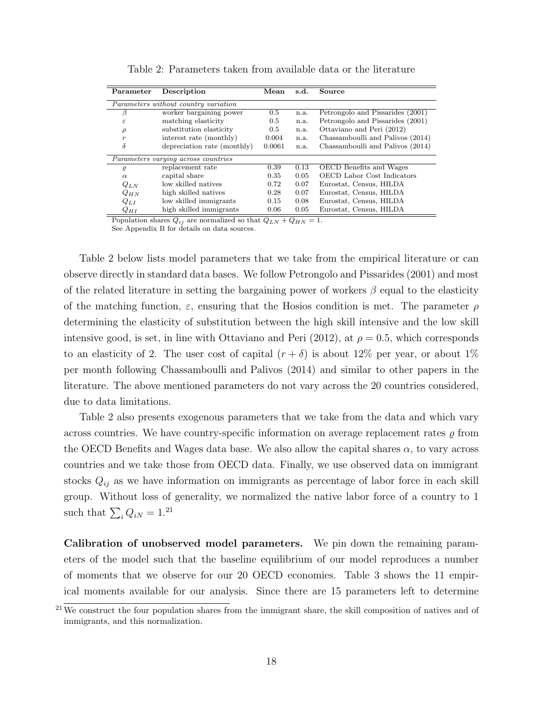<span id="page-19-0"></span>

| Parameter        | Description                          | Mean          | s.d. | Source                            |
|------------------|--------------------------------------|---------------|------|-----------------------------------|
|                  | Parameters without country variation |               |      |                                   |
| β                | worker bargaining power              | $0.5^{\circ}$ | n.a. | Petrongolo and Pissarides (2001)  |
| $\epsilon$       | matching elasticity                  | 0.5           | n.a. | Petrongolo and Pissarides (2001)  |
| $\rho$           | substitution elasticity              | 0.5           | n.a. | Ottaviano and Peri (2012)         |
| $\boldsymbol{r}$ | interest rate (monthly)              | 0.004         | n.a. | Chassamboulli and Palivos (2014)  |
| δ                | depreciation rate (monthly)          | 0.0061        | n.a. | Chassamboulli and Palivos (2014)  |
|                  | Parameters varying across countries  |               |      |                                   |
| $\rho$           | replacement rate                     | 0.39          | 0.13 | OECD Benefits and Wages           |
| $\alpha$         | capital share                        | 0.35          | 0.05 | <b>OECD</b> Labor Cost Indicators |
| $Q_{LN}$         | low skilled natives                  | 0.72          | 0.07 | Eurostat, Census, HILDA           |
| $Q_{HN}$         | high skilled natives                 | 0.28          | 0.07 | Eurostat, Census, HILDA           |
| $Q_{LI}$         | low skilled immigrants               | 0.15          | 0.08 | Eurostat, Census, HILDA           |
| $Q_{HI}$         | high skilled immigrants              | 0.06          | 0.05 | Eurostat, Census, HILDA           |

Table 2: Parameters taken from available data or the literature

Population shares  $Q_{ij}$  are normalized so that  $Q_{LN} + Q_{HN} = 1$ .

See Appendix [B](#page-40-0) for details on data sources.

Table [2](#page-19-0) below lists model parameters that we take from the empirical literature or can observe directly in standard data bases. We follow Petrongolo and Pissarides [\(2001\)](#page-33-12) and most of the related literature in setting the bargaining power of workers  $\beta$  equal to the elasticity of the matching function,  $\varepsilon$ , ensuring that the Hosios condition is met. The parameter  $\rho$ determining the elasticity of substitution between the high skill intensive and the low skill intensive good, is set, in line with [Ottaviano and Peri](#page-33-5) [\(2012\)](#page-33-5), at  $\rho = 0.5$ , which corresponds to an elasticity of 2. The user cost of capital  $(r + \delta)$  is about 12% per year, or about 1% per month following [Chassamboulli and Palivos](#page-32-8) [\(2014\)](#page-32-8) and similar to other papers in the literature. The above mentioned parameters do not vary across the 20 countries considered, due to data limitations.

Table [2](#page-19-0) also presents exogenous parameters that we take from the data and which vary across countries. We have country-specific information on average replacement rates  $\rho$  from the OECD Benefits and Wages data base. We also allow the capital shares  $\alpha$ , to vary across countries and we take those from OECD data. Finally, we use observed data on immigrant stocks  $Q_{ij}$  as we have information on immigrants as percentage of labor force in each skill group. Without loss of generality, we normalized the native labor force of a country to 1 such that  $\sum_i Q_{iN} = 1.21$  $\sum_i Q_{iN} = 1.21$ 

Calibration of unobserved model parameters. We pin down the remaining parameters of the model such that the baseline equilibrium of our model reproduces a number of moments that we observe for our 20 OECD economies. Table [3](#page-20-0) shows the 11 empirical moments available for our analysis. Since there are 15 parameters left to determine

<span id="page-19-1"></span> $21$  We construct the four population shares from the immigrant share, the skill composition of natives and of immigrants, and this normalization.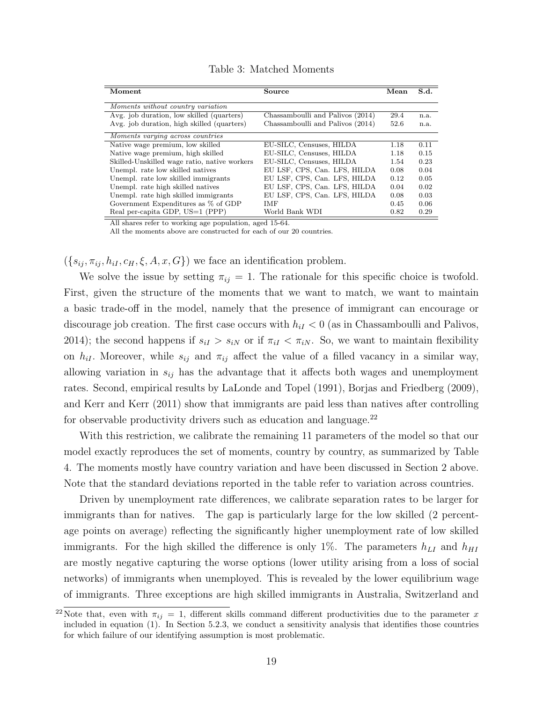<span id="page-20-0"></span>

| Moment                                       | Source                           | Mean | S.d. |
|----------------------------------------------|----------------------------------|------|------|
|                                              |                                  |      |      |
| Moments without country variation            |                                  |      |      |
| Avg. job duration, low skilled (quarters)    | Chassamboulli and Palivos (2014) | 29.4 | n.a. |
| Avg. job duration, high skilled (quarters)   | Chassamboulli and Palivos (2014) | 52.6 | n.a. |
| Moments varying across countries             |                                  |      |      |
| Native wage premium, low skilled             | EU-SILC, Censuses, HILDA         | 1.18 | 0.11 |
| Native wage premium, high skilled            | EU-SILC, Censuses, HILDA         | 1.18 | 0.15 |
| Skilled-Unskilled wage ratio, native workers | EU-SILC, Censuses, HILDA         | 1.54 | 0.23 |
| Unempl. rate low skilled natives             | EU LSF, CPS, Can. LFS, HILDA     | 0.08 | 0.04 |
| Unempl. rate low skilled immigrants          | EU LSF, CPS, Can. LFS, HILDA     | 0.12 | 0.05 |
| Unempl. rate high skilled natives            | EU LSF, CPS, Can. LFS, HILDA     | 0.04 | 0.02 |
| Unempl. rate high skilled immigrants         | EU LSF, CPS, Can. LFS, HILDA     | 0.08 | 0.03 |
| Government Expenditures as % of GDP          | <b>IMF</b>                       | 0.45 | 0.06 |
| Real per-capita GDP, US=1 (PPP)              | World Bank WDI                   | 0.82 | 0.29 |

Table 3: Matched Moments

All shares refer to working age population, aged 15-64.

All the moments above are constructed for each of our 20 countries.

 $({s_{ij}, \pi_{ij}, h_{iI}, c_H, \xi, A, x, G})$  we face an identification problem.

We solve the issue by setting  $\pi_{ij} = 1$ . The rationale for this specific choice is twofold. First, given the structure of the moments that we want to match, we want to maintain a basic trade-off in the model, namely that the presence of immigrant can encourage or discourage job creation. The first case occurs with  $h_{iI} < 0$  (as in Chassamboulli and Palivos, 2014); the second happens if  $s_{iI} > s_{iN}$  or if  $\pi_{iI} < \pi_{iN}$ . So, we want to maintain flexibility on  $h_{iI}$ . Moreover, while  $s_{ij}$  and  $\pi_{ij}$  affect the value of a filled vacancy in a similar way, allowing variation in  $s_{ij}$  has the advantage that it affects both wages and unemployment rates. Second, empirical results by [LaLonde and Topel](#page-33-13) [\(1991\)](#page-33-13), [Borjas and Friedberg](#page-32-15) [\(2009\)](#page-32-15), and [Kerr and Kerr](#page-33-14) [\(2011\)](#page-33-14) show that immigrants are paid less than natives after controlling for observable productivity drivers such as education and language. $^{22}$  $^{22}$  $^{22}$ 

With this restriction, we calibrate the remaining 11 parameters of the model so that our model exactly reproduces the set of moments, country by country, as summarized by Table [4.](#page-21-0) The moments mostly have country variation and have been discussed in Section 2 above. Note that the standard deviations reported in the table refer to variation across countries.

Driven by unemployment rate differences, we calibrate separation rates to be larger for immigrants than for natives. The gap is particularly large for the low skilled (2 percentage points on average) reflecting the significantly higher unemployment rate of low skilled immigrants. For the high skilled the difference is only 1%. The parameters  $h_{LI}$  and  $h_{HI}$ are mostly negative capturing the worse options (lower utility arising from a loss of social networks) of immigrants when unemployed. This is revealed by the lower equilibrium wage of immigrants. Three exceptions are high skilled immigrants in Australia, Switzerland and

<span id="page-20-1"></span><sup>&</sup>lt;sup>22</sup>Note that, even with  $\pi_{ij} = 1$ , different skills command different productivities due to the parameter x included in equation (1). In Section [5.2.3,](#page-26-0) we conduct a sensitivity analysis that identifies those countries for which failure of our identifying assumption is most problematic.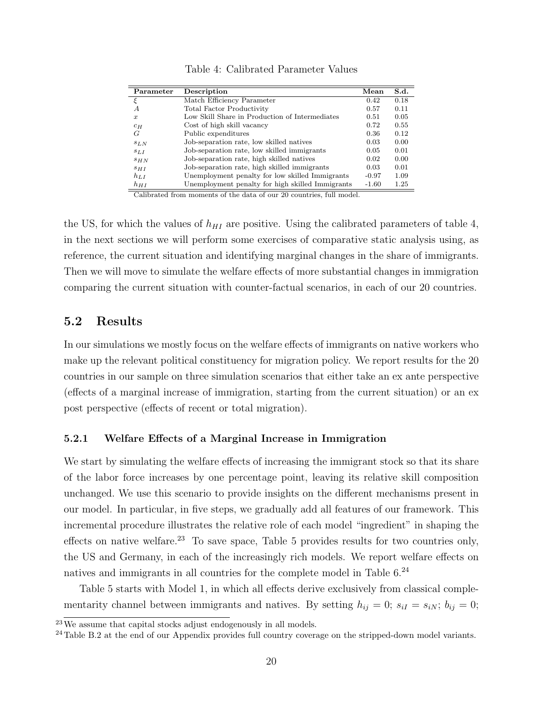<span id="page-21-0"></span>

| Parameter        | Description                                      | Mean    | S.d. |
|------------------|--------------------------------------------------|---------|------|
|                  | Match Efficiency Parameter                       | 0.42    | 0.18 |
| А                | <b>Total Factor Productivity</b>                 | 0.57    | 0.11 |
| $\boldsymbol{x}$ | Low Skill Share in Production of Intermediates   | 0.51    | 0.05 |
| $c_H$            | Cost of high skill vacancy                       | 0.72    | 0.55 |
| G                | Public expenditures                              | 0.36    | 0.12 |
| SLN              | Job-separation rate, low skilled natives         | 0.03    | 0.00 |
| SLI              | Job-separation rate, low skilled immigrants      | 0.05    | 0.01 |
| SHN              | Job-separation rate, high skilled natives        | 0.02    | 0.00 |
| S <sub>HI</sub>  | Job-separation rate, high skilled immigrants     | 0.03    | 0.01 |
| $h_{LI}$         | Unemployment penalty for low skilled Immigrants  | $-0.97$ | 1.09 |
| $h_{HI}$         | Unemployment penalty for high skilled Immigrants | $-1.60$ | 1.25 |

Calibrated from moments of the data of our 20 countries, full model.

the US, for which the values of  $h_{HI}$  are positive. Using the calibrated parameters of table [4,](#page-21-0) in the next sections we will perform some exercises of comparative static analysis using, as reference, the current situation and identifying marginal changes in the share of immigrants. Then we will move to simulate the welfare effects of more substantial changes in immigration comparing the current situation with counter-factual scenarios, in each of our 20 countries.

#### 5.2 Results

In our simulations we mostly focus on the welfare effects of immigrants on native workers who make up the relevant political constituency for migration policy. We report results for the 20 countries in our sample on three simulation scenarios that either take an ex ante perspective (effects of a marginal increase of immigration, starting from the current situation) or an ex post perspective (effects of recent or total migration).

#### 5.2.1 Welfare Effects of a Marginal Increase in Immigration

We start by simulating the welfare effects of increasing the immigrant stock so that its share of the labor force increases by one percentage point, leaving its relative skill composition unchanged. We use this scenario to provide insights on the different mechanisms present in our model. In particular, in five steps, we gradually add all features of our framework. This incremental procedure illustrates the relative role of each model "ingredient" in shaping the effects on native welfare.<sup>[23](#page-21-1)</sup> To save space, Table [5](#page-22-0) provides results for two countries only, the US and Germany, in each of the increasingly rich models. We report welfare effects on natives and immigrants in all countries for the complete model in Table [6.](#page-23-0)[24](#page-21-2)

Table 5 starts with Model 1, in which all effects derive exclusively from classical complementarity channel between immigrants and natives. By setting  $h_{ij} = 0$ ;  $s_{iI} = s_{iN}$ ;  $b_{ij} = 0$ ;

<span id="page-21-1"></span><sup>23</sup>We assume that capital stocks adjust endogenously in all models.

<span id="page-21-2"></span><sup>&</sup>lt;sup>24</sup>Table [B.2](#page-44-0) at the end of our Appendix provides full country coverage on the stripped-down model variants.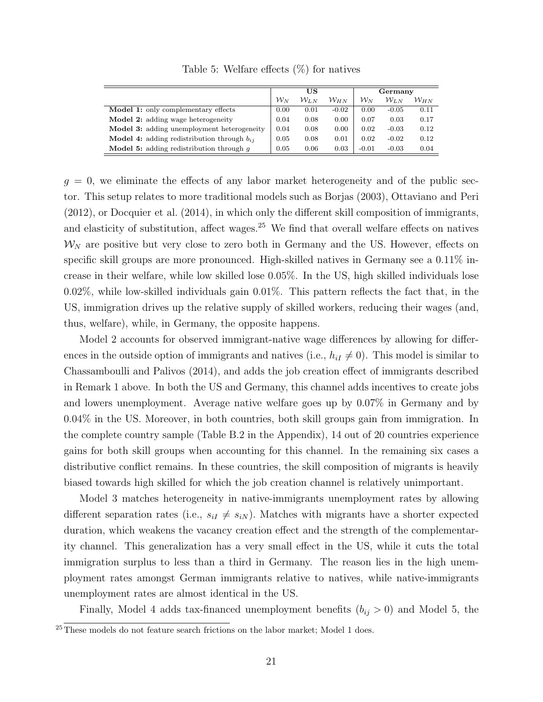<span id="page-22-0"></span>

|                                                        |              | US               |                 |              | Germany          |                 |
|--------------------------------------------------------|--------------|------------------|-----------------|--------------|------------------|-----------------|
|                                                        |              |                  |                 |              |                  |                 |
|                                                        | ${\cal W}_N$ | ${\cal W}_{I.N}$ | ${\cal W}_{HN}$ | ${\cal W}_N$ | ${\cal W}_{L,N}$ | ${\cal W}_{HN}$ |
| <b>Model 1:</b> only complementary effects             | 0.00         | 0.01             | $-0.02$         | 0.00         | $-0.05$          | 0.11            |
| <b>Model 2:</b> adding wage heterogeneity              | 0.04         | 0.08             | 0.00            | 0.07         | 0.03             | 0.17            |
| <b>Model 3:</b> adding unemployment heterogeneity      | 0.04         | 0.08             | 0.00            | 0.02         | $-0.03$          | 0.12            |
| <b>Model 4:</b> adding redistribution through $b_{ij}$ | 0.05         | 0.08             | 0.01            | 0.02         | $-0.02$          | 0.12            |
| <b>Model 5:</b> adding redistribution through $q$      | 0.05         | 0.06             | 0.03            | $-0.01$      | $-0.03$          | 0.04            |

Table 5: Welfare effects (%) for natives

 $g = 0$ , we eliminate the effects of any labor market heterogeneity and of the public sector. This setup relates to more traditional models such as [Borjas](#page-32-1) [\(2003\)](#page-32-1), [Ottaviano and Peri](#page-33-5) [\(2012\)](#page-33-5), or [Docquier et al.](#page-32-12) [\(2014\)](#page-32-12), in which only the different skill composition of immigrants, and elasticity of substitution, affect wages.<sup>[25](#page-22-1)</sup> We find that overall welfare effects on natives  $\mathcal{W}_N$  are positive but very close to zero both in Germany and the US. However, effects on specific skill groups are more pronounced. High-skilled natives in Germany see a 0.11% increase in their welfare, while low skilled lose 0.05%. In the US, high skilled individuals lose 0.02%, while low-skilled individuals gain 0.01%. This pattern reflects the fact that, in the US, immigration drives up the relative supply of skilled workers, reducing their wages (and, thus, welfare), while, in Germany, the opposite happens.

Model 2 accounts for observed immigrant-native wage differences by allowing for differences in the outside option of immigrants and natives (i.e.,  $h_{iI} \neq 0$ ). This model is similar to Chassamboulli and Palivos [\(2014\)](#page-32-8), and adds the job creation effect of immigrants described in Remark 1 above. In both the US and Germany, this channel adds incentives to create jobs and lowers unemployment. Average native welfare goes up by 0.07% in Germany and by 0.04% in the US. Moreover, in both countries, both skill groups gain from immigration. In the complete country sample (Table [B.2](#page-44-0) in the Appendix), 14 out of 20 countries experience gains for both skill groups when accounting for this channel. In the remaining six cases a distributive conflict remains. In these countries, the skill composition of migrants is heavily biased towards high skilled for which the job creation channel is relatively unimportant.

Model 3 matches heterogeneity in native-immigrants unemployment rates by allowing different separation rates (i.e.,  $s_{iI} \neq s_{iN}$ ). Matches with migrants have a shorter expected duration, which weakens the vacancy creation effect and the strength of the complementarity channel. This generalization has a very small effect in the US, while it cuts the total immigration surplus to less than a third in Germany. The reason lies in the high unemployment rates amongst German immigrants relative to natives, while native-immigrants unemployment rates are almost identical in the US.

Finally, Model 4 adds tax-financed unemployment benefits  $(b_{ij} > 0)$  and Model 5, the

<span id="page-22-1"></span> $^{25}$ These models do not feature search frictions on the labor market; Model 1 does.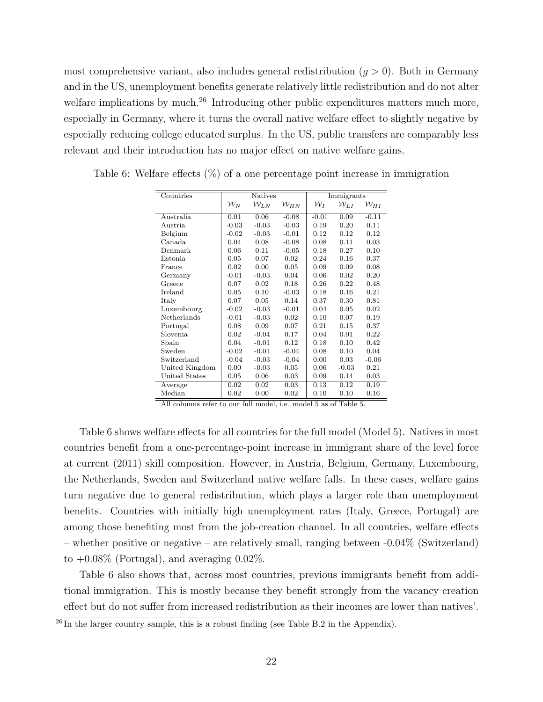most comprehensive variant, also includes general redistribution  $(g > 0)$ . Both in Germany and in the US, unemployment benefits generate relatively little redistribution and do not alter welfare implications by much.<sup>[26](#page-23-1)</sup> Introducing other public expenditures matters much more, especially in Germany, where it turns the overall native welfare effect to slightly negative by especially reducing college educated surplus. In the US, public transfers are comparably less relevant and their introduction has no major effect on native welfare gains.

| Countries      |                | <b>Natives</b> |                 |              | Immigrants         |                    |  |  |  |  |
|----------------|----------------|----------------|-----------------|--------------|--------------------|--------------------|--|--|--|--|
|                | ${\cal W}_{N}$ | $W_{LN}$       | ${\cal W}_{HN}$ | ${\cal W}_I$ | $\mathcal{W}_{LI}$ | $\mathcal{W}_{HI}$ |  |  |  |  |
| Australia      | 0.01           | 0.06           | $-0.08$         | $-0.01$      | 0.09               | $-0.11$            |  |  |  |  |
| Austria        | $-0.03$        | $-0.03$        | $-0.03$         | 0.19         | 0.20               | 0.11               |  |  |  |  |
| Belgium        | $-0.02$        | $-0.03$        | $-0.01$         | 0.12         | 0.12               | 0.12               |  |  |  |  |
| Canada         | 0.04           | 0.08           | $-0.08$         | 0.08         | 0.11               | 0.03               |  |  |  |  |
| Denmark        | 0.06           | 0.11           | $-0.05$         | 0.18         | 0.27               | 0.10               |  |  |  |  |
| Estonia        | 0.05           | 0.07           | 0.02            | 0.24         | 0.16               | 0.37               |  |  |  |  |
| France         | 0.02           | 0.00           | 0.05            | 0.09         | 0.09               | 0.08               |  |  |  |  |
| Germany        | $-0.01$        | $-0.03$        | 0.04            | 0.06         | 0.02               | 0.20               |  |  |  |  |
| Greece         | 0.07           | 0.02           | 0.18            | 0.26         | $0.22\,$           | 0.48               |  |  |  |  |
| Ireland        | 0.05           | 0.10           | $-0.03$         | 0.18         | 0.16               | 0.21               |  |  |  |  |
| Italy          | 0.07           | 0.05           | 0.14            | 0.37         | 0.30               | 0.81               |  |  |  |  |
| Luxembourg     | $-0.02$        | $-0.03$        | $-0.01$         | 0.04         | 0.05               | 0.02               |  |  |  |  |
| Netherlands    | $-0.01$        | $-0.03$        | 0.02            | 0.10         | 0.07               | 0.19               |  |  |  |  |
| Portugal       | 0.08           | 0.09           | 0.07            | 0.21         | 0.15               | 0.37               |  |  |  |  |
| Slovenia       | 0.02           | $-0.04$        | 0.17            | 0.04         | 0.01               | 0.22               |  |  |  |  |
| Spain          | 0.04           | $-0.01$        | 0.12            | 0.18         | 0.10               | 0.42               |  |  |  |  |
| Sweden         | $-0.02$        | $-0.01$        | $-0.04$         | 0.08         | 0.10               | 0.04               |  |  |  |  |
| Switzerland    | $-0.04$        | $-0.03$        | $-0.04$         | 0.00         | 0.03               | $-0.06$            |  |  |  |  |
| United Kingdom | 0.00           | $-0.03$        | 0.05            | 0.06         | $-0.03$            | 0.21               |  |  |  |  |
| United States  | 0.05           | 0.06           | 0.03            | 0.09         | 0.14               | 0.03               |  |  |  |  |
| Average        | 0.02           | 0.02           | 0.03            | 0.13         | 0.12               | 0.19               |  |  |  |  |
| Median         | 0.02           | 0.00           | 0.02            | 0.10         | 0.10               | 0.16               |  |  |  |  |

<span id="page-23-0"></span>Table 6: Welfare effects (%) of a one percentage point increase in immigration

All columns refer to our full model, i.e. model 5 as of Table [5.](#page-22-0)

Table [6](#page-23-0) shows welfare effects for all countries for the full model (Model 5). Natives in most countries benefit from a one-percentage-point increase in immigrant share of the level force at current (2011) skill composition. However, in Austria, Belgium, Germany, Luxembourg, the Netherlands, Sweden and Switzerland native welfare falls. In these cases, welfare gains turn negative due to general redistribution, which plays a larger role than unemployment benefits. Countries with initially high unemployment rates (Italy, Greece, Portugal) are among those benefiting most from the job-creation channel. In all countries, welfare effects – whether positive or negative – are relatively small, ranging between -0.04% (Switzerland) to  $+0.08\%$  (Portugal), and averaging 0.02\%.

Table [6](#page-23-0) also shows that, across most countries, previous immigrants benefit from additional immigration. This is mostly because they benefit strongly from the vacancy creation effect but do not suffer from increased redistribution as their incomes are lower than natives'.

<span id="page-23-1"></span> $^{26}$  In the larger country sample, this is a robust finding (see Table [B.2](#page-44-0) in the Appendix).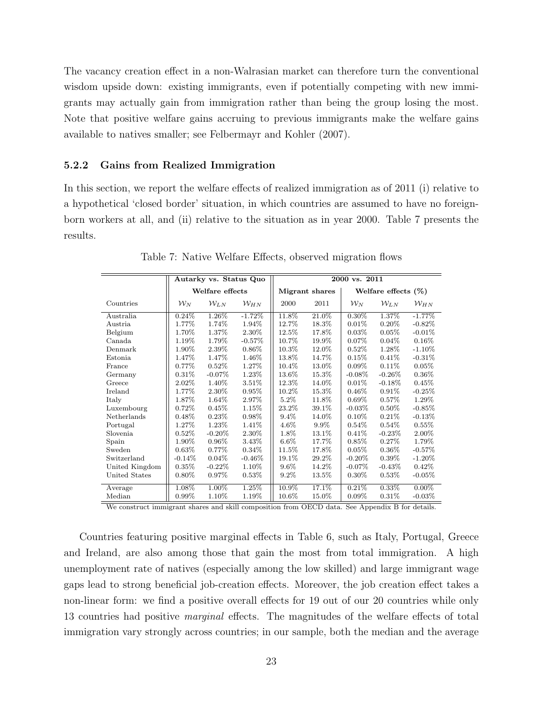The vacancy creation effect in a non-Walrasian market can therefore turn the conventional wisdom upside down: existing immigrants, even if potentially competing with new immigrants may actually gain from immigration rather than being the group losing the most. Note that positive welfare gains accruing to previous immigrants make the welfare gains available to natives smaller; see [Felbermayr and Kohler](#page-33-15) [\(2007\)](#page-33-15).

#### <span id="page-24-1"></span>5.2.2 Gains from Realized Immigration

In this section, we report the welfare effects of realized immigration as of 2011 (i) relative to a hypothetical 'closed border' situation, in which countries are assumed to have no foreignborn workers at all, and (ii) relative to the situation as in year 2000. Table [7](#page-24-0) presents the results.

<span id="page-24-0"></span>

|                |              | Autarky vs. Status Quo |          | 2000 vs. 2011 |                |              |                        |                    |  |  |  |  |  |  |  |
|----------------|--------------|------------------------|----------|---------------|----------------|--------------|------------------------|--------------------|--|--|--|--|--|--|--|
|                |              | Welfare effects        |          |               | Migrant shares |              | Welfare effects $(\%)$ |                    |  |  |  |  |  |  |  |
| Countries      | ${\cal W}_N$ | $W_{LN}$               | $W_{HN}$ | 2000          | 2011           | ${\cal W}_N$ | $W_{LN}$               | $\mathcal{W}_{HN}$ |  |  |  |  |  |  |  |
| Australia      | 0.24%        | 1.26%                  | $-1.72%$ | 11.8%         | 21.0%          | 0.30%        | 1.37%                  | $-1.77\%$          |  |  |  |  |  |  |  |
| Austria        | 1.77%        | 1.74%                  | 1.94%    | 12.7%         | 18.3%          | $0.01\%$     | $0.20\%$               | $-0.82\%$          |  |  |  |  |  |  |  |
| Belgium        | 1.70%        | 1.37%                  | 2.30%    | 12.5%         | 17.8%          | 0.03%        | $0.05\%$               | $-0.01\%$          |  |  |  |  |  |  |  |
| Canada         | 1.19%        | 1.79%                  | $-0.57%$ | 10.7%         | 19.9%          | $0.07\%$     | 0.04%                  | $0.16\%$           |  |  |  |  |  |  |  |
| Denmark        | 1.90%        | 2.39\%                 | $0.86\%$ | $10.3\%$      | 12.0%          | $0.52\%$     | 1.28\%                 | $-1.10\%$          |  |  |  |  |  |  |  |
| Estonia        | 1.47%        | 1.47%                  | 1.46%    | 13.8%         | 14.7%          | 0.15%        | 0.41%                  | $-0.31\%$          |  |  |  |  |  |  |  |
| France         | 0.77%        | $0.52\%$               | 1.27%    | 10.4%         | 13.0%          | $0.09\%$     | 0.11%                  | 0.05%              |  |  |  |  |  |  |  |
| Germany        | 0.31%        | $-0.07\%$              | 1.23%    | 13.6%         | 15.3%          | $-0.08\%$    | $-0.26\%$              | $0.36\%$           |  |  |  |  |  |  |  |
| Greece         | 2.02%        | 1.40%                  | 3.51%    | 12.3%         | 14.0%          | 0.01%        | $-0.18\%$              | 0.45%              |  |  |  |  |  |  |  |
| Ireland        | 1.77%        | 2.30%                  | 0.95%    | 10.2%         | 15.3%          | $0.46\%$     | 0.91%                  | $-0.25%$           |  |  |  |  |  |  |  |
| Italy          | 1.87%        | 1.64%                  | 2.97%    | $5.2\%$       | 11.8%          | $0.69\%$     | $0.57\%$               | 1.29%              |  |  |  |  |  |  |  |
| Luxembourg     | 0.72%        | 0.45%                  | 1.15%    | 23.2%         | 39.1%          | $-0.03\%$    | $0.50\%$               | $-0.85\%$          |  |  |  |  |  |  |  |
| Netherlands    | 0.48%        | 0.23%                  | $0.98\%$ | 9.4%          | 14.0%          | $0.10\%$     | 0.21%                  | $-0.13\%$          |  |  |  |  |  |  |  |
| Portugal       | 1.27%        | 1.23%                  | 1.41\%   | $4.6\%$       | $9.9\%$        | $0.54\%$     | 0.54%                  | $0.55\%$           |  |  |  |  |  |  |  |
| Slovenia       | $0.52\%$     | $-0.20%$               | 2.30%    | 1.8%          | 13.1%          | 0.41%        | $-0.23\%$              | 2.00%              |  |  |  |  |  |  |  |
| Spain          | 1.90%        | $0.96\%$               | 3.43%    | $6.6\%$       | 17.7%          | 0.85%        | 0.27%                  | 1.79%              |  |  |  |  |  |  |  |
| Sweden         | 0.63%        | $0.77\%$               | 0.34\%   | 11.5%         | 17.8%          | 0.05%        | $0.36\%$               | $-0.57\%$          |  |  |  |  |  |  |  |
| Switzerland    | $-0.14%$     | 0.04%                  | $-0.46%$ | 19.1%         | 29.2%          | $-0.20\%$    | $0.39\%$               | $-1.20\%$          |  |  |  |  |  |  |  |
| United Kingdom | 0.35%        | $-0.22\%$              | 1.10%    | $9.6\%$       | 14.2%          | $-0.07\%$    | $-0.43\%$              | $0.42\%$           |  |  |  |  |  |  |  |
| United States  | $0.80\%$     | 0.97%                  | 0.53%    | $9.2\%$       | 13.5%          | $0.30\%$     | 0.53%                  | $-0.05\%$          |  |  |  |  |  |  |  |
| Average        | 1.08%        | 1.00%                  | 1.25%    | 10.9%         | 17.1%          | 0.21%        | 0.33%                  | $0.00\%$           |  |  |  |  |  |  |  |
| Median         | 0.99%        | 1.10%                  | 1.19%    | 10.6%         | 15.0%          | $0.09\%$     | 0.31%                  | $-0.03\%$          |  |  |  |  |  |  |  |

Table 7: Native Welfare Effects, observed migration flows

We construct immigrant shares and skill composition from OECD data. See Appendix [B](#page-40-0) for details.

Countries featuring positive marginal effects in Table [6,](#page-23-0) such as Italy, Portugal, Greece and Ireland, are also among those that gain the most from total immigration. A high unemployment rate of natives (especially among the low skilled) and large immigrant wage gaps lead to strong beneficial job-creation effects. Moreover, the job creation effect takes a non-linear form: we find a positive overall effects for 19 out of our 20 countries while only 13 countries had positive marginal effects. The magnitudes of the welfare effects of total immigration vary strongly across countries; in our sample, both the median and the average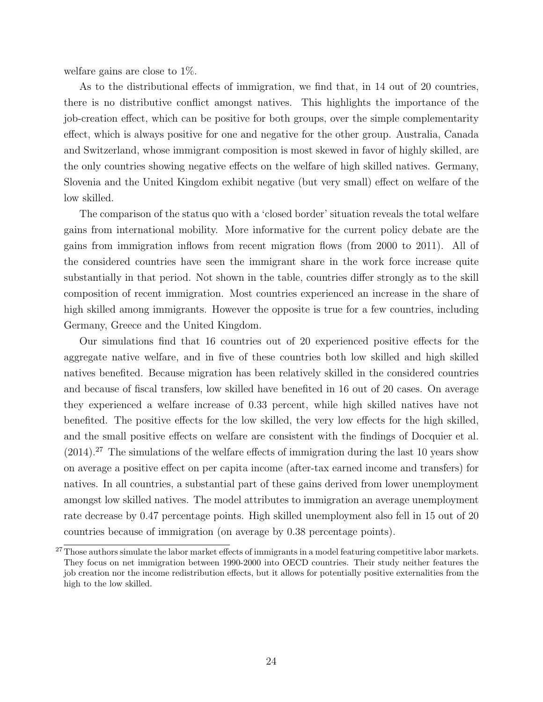welfare gains are close to 1%.

As to the distributional effects of immigration, we find that, in 14 out of 20 countries, there is no distributive conflict amongst natives. This highlights the importance of the job-creation effect, which can be positive for both groups, over the simple complementarity effect, which is always positive for one and negative for the other group. Australia, Canada and Switzerland, whose immigrant composition is most skewed in favor of highly skilled, are the only countries showing negative effects on the welfare of high skilled natives. Germany, Slovenia and the United Kingdom exhibit negative (but very small) effect on welfare of the low skilled.

The comparison of the status quo with a 'closed border' situation reveals the total welfare gains from international mobility. More informative for the current policy debate are the gains from immigration inflows from recent migration flows (from 2000 to 2011). All of the considered countries have seen the immigrant share in the work force increase quite substantially in that period. Not shown in the table, countries differ strongly as to the skill composition of recent immigration. Most countries experienced an increase in the share of high skilled among immigrants. However the opposite is true for a few countries, including Germany, Greece and the United Kingdom.

Our simulations find that 16 countries out of 20 experienced positive effects for the aggregate native welfare, and in five of these countries both low skilled and high skilled natives benefited. Because migration has been relatively skilled in the considered countries and because of fiscal transfers, low skilled have benefited in 16 out of 20 cases. On average they experienced a welfare increase of 0.33 percent, while high skilled natives have not benefited. The positive effects for the low skilled, the very low effects for the high skilled, and the small positive effects on welfare are consistent with the findings of [Docquier et al.](#page-32-12)  $(2014).^{27}$  $(2014).^{27}$  $(2014).^{27}$  $(2014).^{27}$  The simulations of the welfare effects of immigration during the last 10 years show on average a positive effect on per capita income (after-tax earned income and transfers) for natives. In all countries, a substantial part of these gains derived from lower unemployment amongst low skilled natives. The model attributes to immigration an average unemployment rate decrease by 0.47 percentage points. High skilled unemployment also fell in 15 out of 20 countries because of immigration (on average by 0.38 percentage points).

<span id="page-25-0"></span><sup>&</sup>lt;sup>27</sup> Those authors simulate the labor market effects of immigrants in a model featuring competitive labor markets. They focus on net immigration between 1990-2000 into OECD countries. Their study neither features the job creation nor the income redistribution effects, but it allows for potentially positive externalities from the high to the low skilled.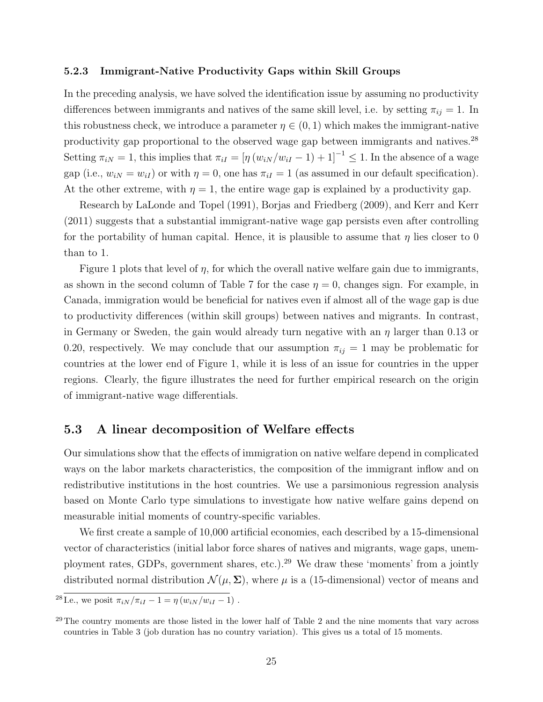#### <span id="page-26-0"></span>5.2.3 Immigrant-Native Productivity Gaps within Skill Groups

In the preceding analysis, we have solved the identification issue by assuming no productivity differences between immigrants and natives of the same skill level, i.e. by setting  $\pi_{ij} = 1$ . In this robustness check, we introduce a parameter  $\eta \in (0,1)$  which makes the immigrant-native productivity gap proportional to the observed wage gap between immigrants and natives.[28](#page-26-1) Setting  $\pi_{iN} = 1$ , this implies that  $\pi_{iI} = [\eta (w_{iN}/w_{iI} - 1) + 1]^{-1} \leq 1$ . In the absence of a wage gap (i.e.,  $w_{iN} = w_{iI}$ ) or with  $\eta = 0$ , one has  $\pi_{iI} = 1$  (as assumed in our default specification). At the other extreme, with  $\eta = 1$ , the entire wage gap is explained by a productivity gap.

Research by [LaLonde and Topel](#page-33-13) [\(1991\)](#page-33-13), [Borjas and Friedberg](#page-32-15) [\(2009\)](#page-32-15), and [Kerr and Kerr](#page-33-14) [\(2011\)](#page-33-14) suggests that a substantial immigrant-native wage gap persists even after controlling for the portability of human capital. Hence, it is plausible to assume that  $\eta$  lies closer to 0 than to 1.

Figure [1](#page-27-0) plots that level of  $\eta$ , for which the overall native welfare gain due to immigrants, as shown in the second column of Table 7 for the case  $\eta = 0$ , changes sign. For example, in Canada, immigration would be beneficial for natives even if almost all of the wage gap is due to productivity differences (within skill groups) between natives and migrants. In contrast, in Germany or Sweden, the gain would already turn negative with an  $\eta$  larger than 0.13 or 0.20, respectively. We may conclude that our assumption  $\pi_{ij} = 1$  may be problematic for countries at the lower end of Figure [1,](#page-27-0) while it is less of an issue for countries in the upper regions. Clearly, the figure illustrates the need for further empirical research on the origin of immigrant-native wage differentials.

#### 5.3 A linear decomposition of Welfare effects

Our simulations show that the effects of immigration on native welfare depend in complicated ways on the labor markets characteristics, the composition of the immigrant inflow and on redistributive institutions in the host countries. We use a parsimonious regression analysis based on Monte Carlo type simulations to investigate how native welfare gains depend on measurable initial moments of country-specific variables.

We first create a sample of 10,000 artificial economies, each described by a 15-dimensional vector of characteristics (initial labor force shares of natives and migrants, wage gaps, unem-ployment rates, GDPs, government shares, etc.).<sup>[29](#page-26-2)</sup> We draw these 'moments' from a jointly distributed normal distribution  $\mathcal{N}(\mu, \Sigma)$ , where  $\mu$  is a (15-dimensional) vector of means and

<span id="page-26-1"></span><sup>&</sup>lt;sup>28</sup> I.e., we posit  $\pi_{iN}/\pi_{iI} - 1 = \eta(w_{iN}/w_{iI} - 1)$ .

<span id="page-26-2"></span><sup>&</sup>lt;sup>29</sup>The country moments are those listed in the lower half of Table [2](#page-19-0) and the nine moments that vary across countries in Table [3](#page-20-0) (job duration has no country variation). This gives us a total of 15 moments.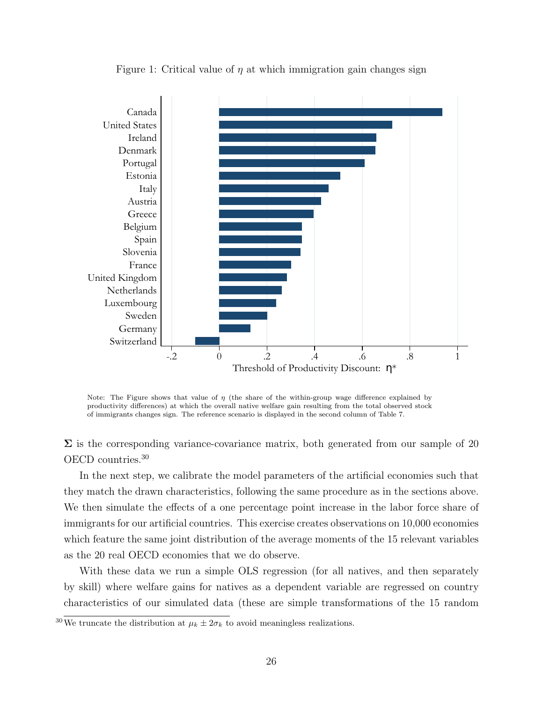<span id="page-27-0"></span>

Figure 1: Critical value of  $\eta$  at which immigration gain changes sign

Note: The Figure shows that value of  $\eta$  (the share of the within-group wage difference explained by productivity differences) at which the overall native welfare gain resulting from the total observed stock of immigrants changes sign. The reference scenario is displayed in the second column of Table 7.

 $\Sigma$  is the corresponding variance-covariance matrix, both generated from our sample of 20 OECD countries.[30](#page-27-1)

In the next step, we calibrate the model parameters of the artificial economies such that they match the drawn characteristics, following the same procedure as in the sections above. We then simulate the effects of a one percentage point increase in the labor force share of immigrants for our artificial countries. This exercise creates observations on 10,000 economies which feature the same joint distribution of the average moments of the 15 relevant variables as the 20 real OECD economies that we do observe.

With these data we run a simple OLS regression (for all natives, and then separately by skill) where welfare gains for natives as a dependent variable are regressed on country characteristics of our simulated data (these are simple transformations of the 15 random

<span id="page-27-1"></span><sup>&</sup>lt;sup>30</sup>We truncate the distribution at  $\mu_k \pm 2\sigma_k$  to avoid meaningless realizations.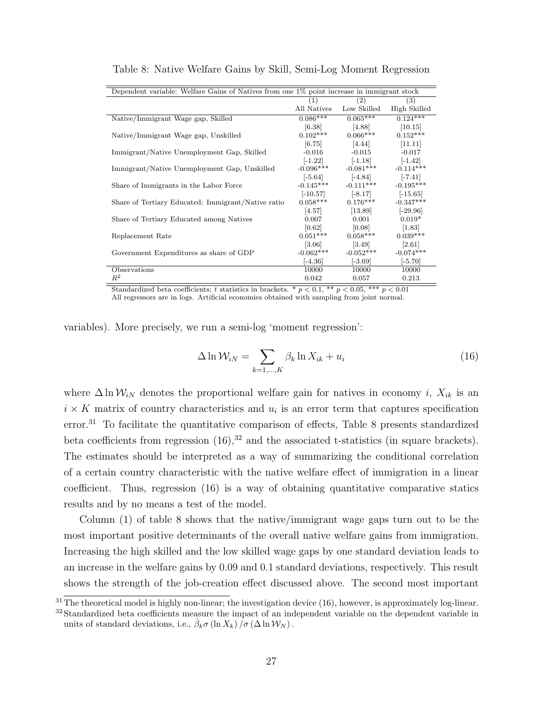| Dependent variable: Welfare Gains of Natives from one 1% point increase in immigrant stock |                     |             |              |
|--------------------------------------------------------------------------------------------|---------------------|-------------|--------------|
|                                                                                            | (1)                 | (2)         | (3)          |
|                                                                                            | All Natives         | Low Skilled | High Skilled |
| Native/Immigrant Wage gap, Skilled                                                         | $0.086***$          | $0.065***$  | $0.124***$   |
|                                                                                            | [6.38]              | [4.88]      | [10.15]      |
| Native/Immigrant Wage gap, Unskilled                                                       | $0.102***$          | $0.066***$  | $0.152***$   |
|                                                                                            | [6.75]              | [4.44]      | [11.11]      |
| Immigrant/Native Unemployment Gap, Skilled                                                 | $-0.016$            | $-0.015$    | $-0.017$     |
|                                                                                            | $[-1.22]$           | $[-1.18]$   | $[-1.42]$    |
| Immigrant/Native Unemployment Gap, Unskilled                                               | $-0.096***$         | $-0.081***$ | $-0.114***$  |
|                                                                                            | $[-5.64]$           | $[-4.84]$   | $[-7.41]$    |
| Share of Immigrants in the Labor Force                                                     | $-0.145***$         | $-0.111***$ | $-0.195***$  |
|                                                                                            | $[-10.57]$          | $[-8.17]$   | $[-15.65]$   |
| Share of Tertiary Educated: Immigrant/Native ratio                                         | $0.058***$          | $0.176***$  | $-0.347***$  |
|                                                                                            | [4.57]              | [13.89]     | $[-29.96]$   |
| Share of Tertiary Educated among Natives                                                   | 0.007               | 0.001       | $0.019*$     |
|                                                                                            | [0.62]              | [0.08]      | [1.83]       |
| Replacement Rate                                                                           | $0.051***$          | $0.058***$  | $0.039***$   |
|                                                                                            | $\left[3.06\right]$ | $[3.49]$    | $[2.61]$     |
| Government Expenditures as share of GDP                                                    | $-0.062***$         | $-0.052***$ | $-0.074***$  |
|                                                                                            | $[-4.36]$           | $[-3.69]$   | $[-5.70]$    |
| Observations                                                                               | 10000               | 10000       | 10000        |
| $R^2$                                                                                      | 0.042               | 0.057       | 0.213        |

<span id="page-28-1"></span>Table 8: Native Welfare Gains by Skill, Semi-Log Moment Regression

Standardized beta coefficients; t statistics in brackets. \*  $p < 0.1$ , \*\*  $p < 0.05$ , \*\*\*  $p < 0.01$ All regressors are in logs. Artificial economies obtained with sampling from joint normal.

variables). More precisely, we run a semi-log 'moment regression':

<span id="page-28-2"></span>
$$
\Delta \ln \mathcal{W}_{iN} = \sum_{k=1,\dots,K} \beta_k \ln X_{ik} + u_i \tag{16}
$$

where  $\Delta \ln \mathcal{W}_{iN}$  denotes the proportional welfare gain for natives in economy *i*,  $X_{ik}$  is an  $i \times K$  matrix of country characteristics and  $u_i$  is an error term that captures specification error.[31](#page-28-0) To facilitate the quantitative comparison of effects, Table [8](#page-28-1) presents standardized beta coefficients from regression  $(16)$ ,<sup>[32](#page-28-3)</sup> and the associated t-statistics (in square brackets). The estimates should be interpreted as a way of summarizing the conditional correlation of a certain country characteristic with the native welfare effect of immigration in a linear coefficient. Thus, regression [\(16\)](#page-28-2) is a way of obtaining quantitative comparative statics results and by no means a test of the model.

Column (1) of table [8](#page-28-1) shows that the native/immigrant wage gaps turn out to be the most important positive determinants of the overall native welfare gains from immigration. Increasing the high skilled and the low skilled wage gaps by one standard deviation leads to an increase in the welfare gains by 0.09 and 0.1 standard deviations, respectively. This result shows the strength of the job-creation effect discussed above. The second most important

<span id="page-28-0"></span> $31\text{ The theoretical model is highly non-linear; the investigation device (16), however, is approximately log-linear.}$  $31\text{ The theoretical model is highly non-linear; the investigation device (16), however, is approximately log-linear.}$  $31\text{ The theoretical model is highly non-linear; the investigation device (16), however, is approximately log-linear.}$ 

<span id="page-28-3"></span><sup>&</sup>lt;sup>32</sup> Standardized beta coefficients measure the impact of an independent variable on the dependent variable in units of standard deviations, i.e.,  $\hat{\beta}_k \sigma(\ln X_k) / \sigma(\Delta \ln \mathcal{W}_N)$ .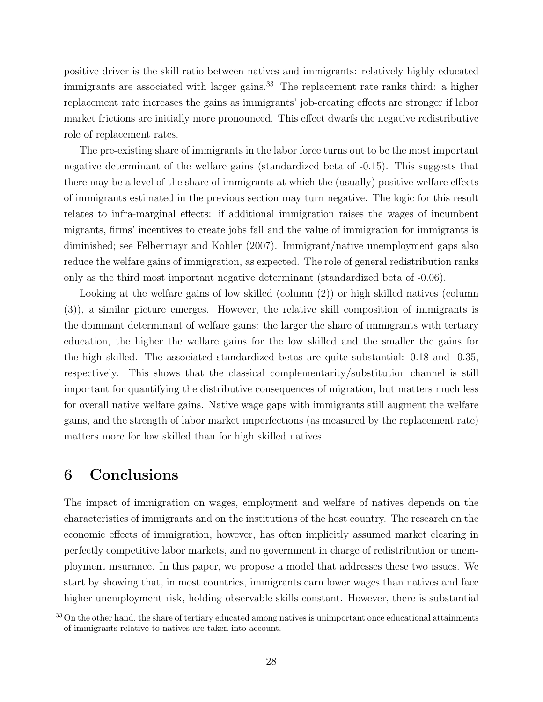positive driver is the skill ratio between natives and immigrants: relatively highly educated immigrants are associated with larger gains.<sup>[33](#page-29-1)</sup> The replacement rate ranks third: a higher replacement rate increases the gains as immigrants' job-creating effects are stronger if labor market frictions are initially more pronounced. This effect dwarfs the negative redistributive role of replacement rates.

The pre-existing share of immigrants in the labor force turns out to be the most important negative determinant of the welfare gains (standardized beta of -0.15). This suggests that there may be a level of the share of immigrants at which the (usually) positive welfare effects of immigrants estimated in the previous section may turn negative. The logic for this result relates to infra-marginal effects: if additional immigration raises the wages of incumbent migrants, firms' incentives to create jobs fall and the value of immigration for immigrants is diminished; see [Felbermayr and Kohler](#page-33-15) [\(2007\)](#page-33-15). Immigrant/native unemployment gaps also reduce the welfare gains of immigration, as expected. The role of general redistribution ranks only as the third most important negative determinant (standardized beta of -0.06).

Looking at the welfare gains of low skilled (column (2)) or high skilled natives (column (3)), a similar picture emerges. However, the relative skill composition of immigrants is the dominant determinant of welfare gains: the larger the share of immigrants with tertiary education, the higher the welfare gains for the low skilled and the smaller the gains for the high skilled. The associated standardized betas are quite substantial: 0.18 and -0.35, respectively. This shows that the classical complementarity/substitution channel is still important for quantifying the distributive consequences of migration, but matters much less for overall native welfare gains. Native wage gaps with immigrants still augment the welfare gains, and the strength of labor market imperfections (as measured by the replacement rate) matters more for low skilled than for high skilled natives.

# <span id="page-29-0"></span>6 Conclusions

The impact of immigration on wages, employment and welfare of natives depends on the characteristics of immigrants and on the institutions of the host country. The research on the economic effects of immigration, however, has often implicitly assumed market clearing in perfectly competitive labor markets, and no government in charge of redistribution or unemployment insurance. In this paper, we propose a model that addresses these two issues. We start by showing that, in most countries, immigrants earn lower wages than natives and face higher unemployment risk, holding observable skills constant. However, there is substantial

<span id="page-29-1"></span><sup>&</sup>lt;sup>33</sup> On the other hand, the share of tertiary educated among natives is unimportant once educational attainments of immigrants relative to natives are taken into account.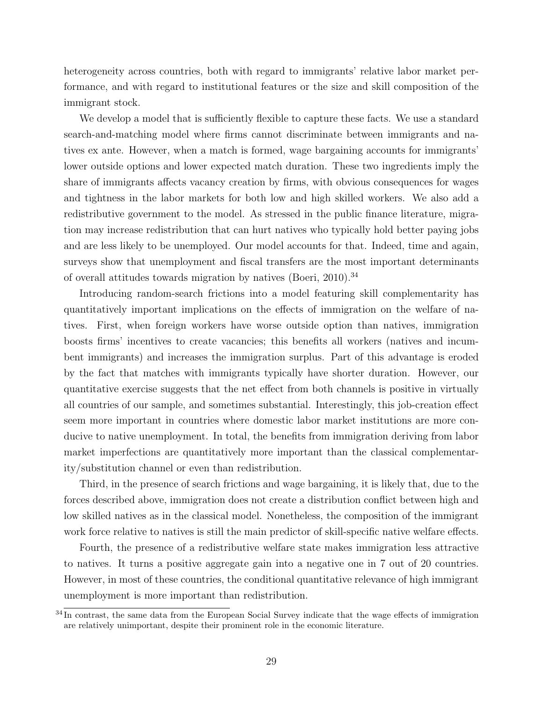heterogeneity across countries, both with regard to immigrants' relative labor market performance, and with regard to institutional features or the size and skill composition of the immigrant stock.

We develop a model that is sufficiently flexible to capture these facts. We use a standard search-and-matching model where firms cannot discriminate between immigrants and natives ex ante. However, when a match is formed, wage bargaining accounts for immigrants' lower outside options and lower expected match duration. These two ingredients imply the share of immigrants affects vacancy creation by firms, with obvious consequences for wages and tightness in the labor markets for both low and high skilled workers. We also add a redistributive government to the model. As stressed in the public finance literature, migration may increase redistribution that can hurt natives who typically hold better paying jobs and are less likely to be unemployed. Our model accounts for that. Indeed, time and again, surveys show that unemployment and fiscal transfers are the most important determinants of overall attitudes towards migration by natives [\(Boeri, 2010\)](#page-32-16).[34](#page-30-0)

Introducing random-search frictions into a model featuring skill complementarity has quantitatively important implications on the effects of immigration on the welfare of natives. First, when foreign workers have worse outside option than natives, immigration boosts firms' incentives to create vacancies; this benefits all workers (natives and incumbent immigrants) and increases the immigration surplus. Part of this advantage is eroded by the fact that matches with immigrants typically have shorter duration. However, our quantitative exercise suggests that the net effect from both channels is positive in virtually all countries of our sample, and sometimes substantial. Interestingly, this job-creation effect seem more important in countries where domestic labor market institutions are more conducive to native unemployment. In total, the benefits from immigration deriving from labor market imperfections are quantitatively more important than the classical complementarity/substitution channel or even than redistribution.

Third, in the presence of search frictions and wage bargaining, it is likely that, due to the forces described above, immigration does not create a distribution conflict between high and low skilled natives as in the classical model. Nonetheless, the composition of the immigrant work force relative to natives is still the main predictor of skill-specific native welfare effects.

Fourth, the presence of a redistributive welfare state makes immigration less attractive to natives. It turns a positive aggregate gain into a negative one in 7 out of 20 countries. However, in most of these countries, the conditional quantitative relevance of high immigrant unemployment is more important than redistribution.

<span id="page-30-0"></span> $34$  In contrast, the same data from the European Social Survey indicate that the wage effects of immigration are relatively unimportant, despite their prominent role in the economic literature.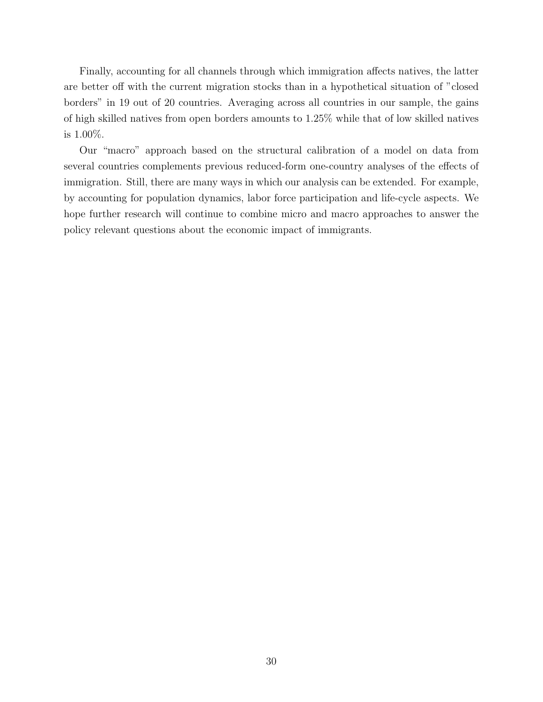Finally, accounting for all channels through which immigration affects natives, the latter are better off with the current migration stocks than in a hypothetical situation of "closed borders" in 19 out of 20 countries. Averaging across all countries in our sample, the gains of high skilled natives from open borders amounts to 1.25% while that of low skilled natives is 1.00%.

Our "macro" approach based on the structural calibration of a model on data from several countries complements previous reduced-form one-country analyses of the effects of immigration. Still, there are many ways in which our analysis can be extended. For example, by accounting for population dynamics, labor force participation and life-cycle aspects. We hope further research will continue to combine micro and macro approaches to answer the policy relevant questions about the economic impact of immigrants.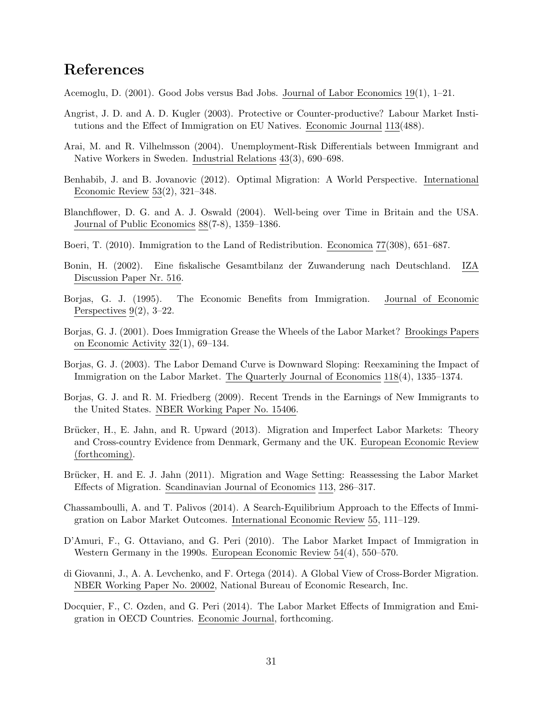# References

<span id="page-32-13"></span>Acemoglu, D. (2001). Good Jobs versus Bad Jobs. Journal of Labor Economics 19(1), 1–21.

- <span id="page-32-7"></span>Angrist, J. D. and A. D. Kugler (2003). Protective or Counter-productive? Labour Market Institutions and the Effect of Immigration on EU Natives. Economic Journal 113(488).
- <span id="page-32-2"></span>Arai, M. and R. Vilhelmsson (2004). Unemployment-Risk Differentials between Immigrant and Native Workers in Sweden. Industrial Relations 43(3), 690–698.
- <span id="page-32-10"></span>Benhabib, J. and B. Jovanovic (2012). Optimal Migration: A World Perspective. International Economic Review 53(2), 321–348.
- <span id="page-32-14"></span>Blanchflower, D. G. and A. J. Oswald (2004). Well-being over Time in Britain and the USA. Journal of Public Economics 88(7-8), 1359–1386.
- <span id="page-32-16"></span>Boeri, T. (2010). Immigration to the Land of Redistribution. Economica 77(308), 651–687.
- <span id="page-32-9"></span>Bonin, H. (2002). Eine fiskalische Gesamtbilanz der Zuwanderung nach Deutschland. IZA Discussion Paper Nr. 516.
- <span id="page-32-0"></span>Borjas, G. J. (1995). The Economic Benefits from Immigration. Journal of Economic Perspectives  $9(2)$ ,  $3-22$ .
- <span id="page-32-6"></span>Borjas, G. J. (2001). Does Immigration Grease the Wheels of the Labor Market? Brookings Papers on Economic Activity  $32(1)$ , 69-134.
- <span id="page-32-1"></span>Borjas, G. J. (2003). The Labor Demand Curve is Downward Sloping: Reexamining the Impact of Immigration on the Labor Market. The Quarterly Journal of Economics 118(4), 1335–1374.
- <span id="page-32-15"></span>Borjas, G. J. and R. M. Friedberg (2009). Recent Trends in the Earnings of New Immigrants to the United States. NBER Working Paper No. 15406.
- <span id="page-32-5"></span>Brücker, H., E. Jahn, and R. Upward (2013). Migration and Imperfect Labor Markets: Theory and Cross-country Evidence from Denmark, Germany and the UK. European Economic Review (forthcoming).
- <span id="page-32-4"></span>Brücker, H. and E. J. Jahn (2011). Migration and Wage Setting: Reassessing the Labor Market Effects of Migration. Scandinavian Journal of Economics 113, 286–317.
- <span id="page-32-8"></span>Chassamboulli, A. and T. Palivos (2014). A Search-Equilibrium Approach to the Effects of Immigration on Labor Market Outcomes. International Economic Review 55, 111–129.
- <span id="page-32-3"></span>D'Amuri, F., G. Ottaviano, and G. Peri (2010). The Labor Market Impact of Immigration in Western Germany in the 1990s. European Economic Review 54(4), 550–570.
- <span id="page-32-11"></span>di Giovanni, J., A. A. Levchenko, and F. Ortega (2014). A Global View of Cross-Border Migration. NBER Working Paper No. 20002, National Bureau of Economic Research, Inc.
- <span id="page-32-12"></span>Docquier, F., C. Ozden, and G. Peri (2014). The Labor Market Effects of Immigration and Emigration in OECD Countries. Economic Journal, forthcoming.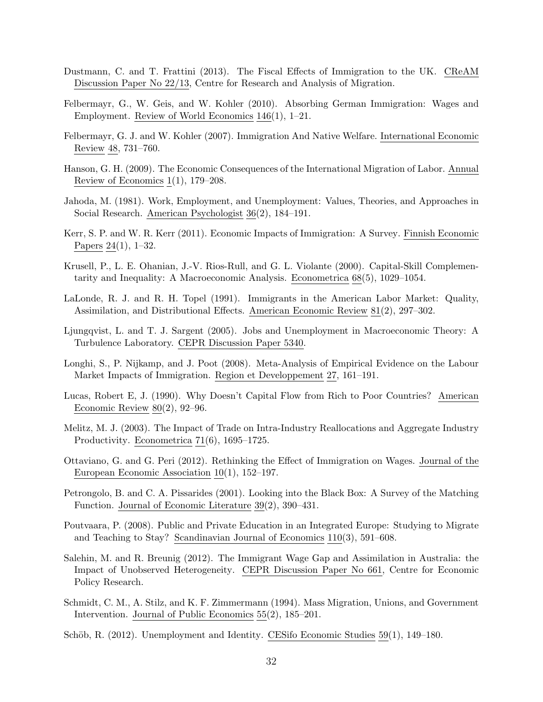- <span id="page-33-4"></span>Dustmann, C. and T. Frattini (2013). The Fiscal Effects of Immigration to the UK. CReAM Discussion Paper No 22/13, Centre for Research and Analysis of Migration.
- <span id="page-33-2"></span>Felbermayr, G., W. Geis, and W. Kohler (2010). Absorbing German Immigration: Wages and Employment. Review of World Economics 146(1), 1–21.
- <span id="page-33-15"></span>Felbermayr, G. J. and W. Kohler (2007). Immigration And Native Welfare. International Economic Review 48, 731–760.
- <span id="page-33-0"></span>Hanson, G. H. (2009). The Economic Consequences of the International Migration of Labor. Annual Review of Economics  $1(1)$ , 179–208.
- <span id="page-33-10"></span>Jahoda, M. (1981). Work, Employment, and Unemployment: Values, Theories, and Approaches in Social Research. American Psychologist 36(2), 184–191.
- <span id="page-33-14"></span>Kerr, S. P. and W. R. Kerr (2011). Economic Impacts of Immigration: A Survey. Finnish Economic Papers 24(1), 1–32.
- <span id="page-33-16"></span>Krusell, P., L. E. Ohanian, J.-V. Rios-Rull, and G. L. Violante (2000). Capital-Skill Complementarity and Inequality: A Macroeconomic Analysis. Econometrica 68(5), 1029–1054.
- <span id="page-33-13"></span>LaLonde, R. J. and R. H. Topel (1991). Immigrants in the American Labor Market: Quality, Assimilation, and Distributional Effects. American Economic Review 81(2), 297–302.
- <span id="page-33-9"></span>Ljungqvist, L. and T. J. Sargent (2005). Jobs and Unemployment in Macroeconomic Theory: A Turbulence Laboratory. CEPR Discussion Paper 5340.
- <span id="page-33-1"></span>Longhi, S., P. Nijkamp, and J. Poot (2008). Meta-Analysis of Empirical Evidence on the Labour Market Impacts of Immigration. Region et Developpement 27, 161–191.
- <span id="page-33-6"></span>Lucas, Robert E, J. (1990). Why Doesn't Capital Flow from Rich to Poor Countries? American Economic Review  $80(2)$ , 92–96.
- <span id="page-33-7"></span>Melitz, M. J. (2003). The Impact of Trade on Intra-Industry Reallocations and Aggregate Industry Productivity. Econometrica 71(6), 1695–1725.
- <span id="page-33-5"></span>Ottaviano, G. and G. Peri (2012). Rethinking the Effect of Immigration on Wages. Journal of the European Economic Association 10(1), 152–197.
- <span id="page-33-12"></span>Petrongolo, B. and C. A. Pissarides (2001). Looking into the Black Box: A Survey of the Matching Function. Journal of Economic Literature 39(2), 390–431.
- <span id="page-33-8"></span>Poutvaara, P. (2008). Public and Private Education in an Integrated Europe: Studying to Migrate and Teaching to Stay? Scandinavian Journal of Economics 110(3), 591–608.
- <span id="page-33-17"></span>Salehin, M. and R. Breunig (2012). The Immigrant Wage Gap and Assimilation in Australia: the Impact of Unobserved Heterogeneity. CEPR Discussion Paper No 661, Centre for Economic Policy Research.
- <span id="page-33-3"></span>Schmidt, C. M., A. Stilz, and K. F. Zimmermann (1994). Mass Migration, Unions, and Government Intervention. Journal of Public Economics 55(2), 185–201.
- <span id="page-33-11"></span>Schöb, R.  $(2012)$ . Unemployment and Identity. CESifo Economic Studies 59(1), 149–180.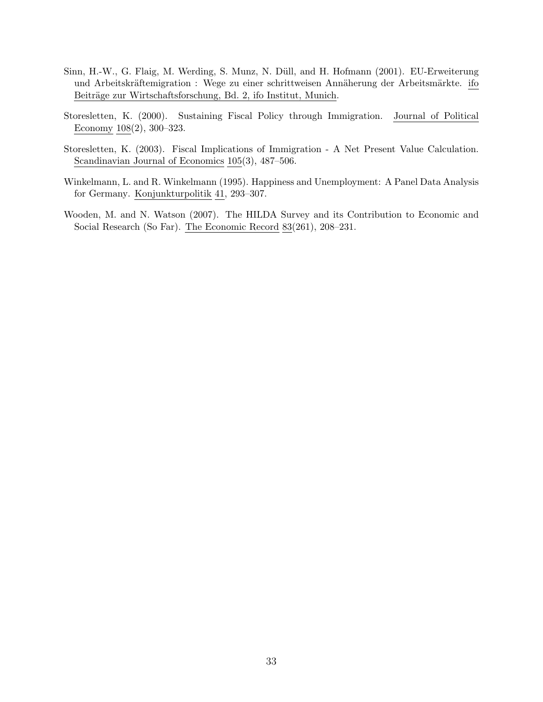- <span id="page-34-2"></span>Sinn, H.-W., G. Flaig, M. Werding, S. Munz, N. Düll, and H. Hofmann (2001). EU-Erweiterung und Arbeitskräftemigration : Wege zu einer schrittweisen Annäherung der Arbeitsmärkte. ifo Beiträge zur Wirtschaftsforschung, Bd. 2, ifo Institut, Munich.
- <span id="page-34-0"></span>Storesletten, K. (2000). Sustaining Fiscal Policy through Immigration. Journal of Political Economy 108(2), 300–323.
- <span id="page-34-1"></span>Storesletten, K. (2003). Fiscal Implications of Immigration - A Net Present Value Calculation. Scandinavian Journal of Economics 105(3), 487–506.
- <span id="page-34-3"></span>Winkelmann, L. and R. Winkelmann (1995). Happiness and Unemployment: A Panel Data Analysis for Germany. Konjunkturpolitik 41, 293–307.
- <span id="page-34-4"></span>Wooden, M. and N. Watson (2007). The HILDA Survey and its Contribution to Economic and Social Research (So Far). The Economic Record 83(261), 208–231.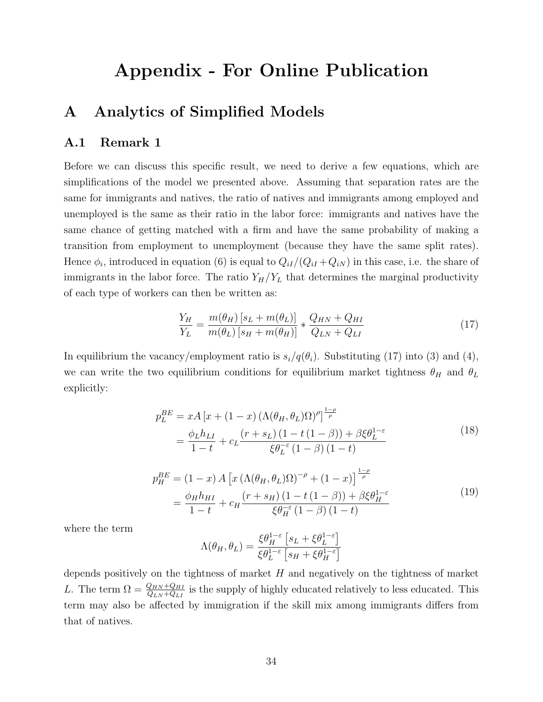# Appendix - For Online Publication

# A Analytics of Simplified Models

#### A.1 Remark 1

Before we can discuss this specific result, we need to derive a few equations, which are simplifications of the model we presented above. Assuming that separation rates are the same for immigrants and natives, the ratio of natives and immigrants among employed and unemployed is the same as their ratio in the labor force: immigrants and natives have the same chance of getting matched with a firm and have the same probability of making a transition from employment to unemployment (because they have the same split rates). Hence  $\phi_i$ , introduced in equation [\(6\)](#page-12-1) is equal to  $Q_{iI}/(Q_{iI}+Q_{iN})$  in this case, i.e. the share of immigrants in the labor force. The ratio  $Y_H/Y_L$  that determines the marginal productivity of each type of workers can then be written as:

<span id="page-35-0"></span>
$$
\frac{Y_H}{Y_L} = \frac{m(\theta_H) \left[s_L + m(\theta_L)\right]}{m(\theta_L) \left[s_H + m(\theta_H)\right]} * \frac{Q_{HN} + Q_{HI}}{Q_{LN} + Q_{LI}} \tag{17}
$$

<span id="page-35-1"></span>In equilibrium the vacancy/employment ratio is  $s_i/q(\theta_i)$ . Substituting [\(17\)](#page-35-0) into [\(3\)](#page-11-2) and [\(4\)](#page-11-2), we can write the two equilibrium conditions for equilibrium market tightness  $\theta_H$  and  $\theta_L$ explicitly:

$$
p_L^{BE} = xA [x + (1 - x) (\Lambda(\theta_H, \theta_L)\Omega)^{\rho}]^{\frac{1 - \rho}{\rho}}
$$
  
= 
$$
\frac{\phi_L h_{LI}}{1 - t} + c_L \frac{(r + s_L)(1 - t(1 - \beta)) + \beta \xi \theta_L^{1 - \varepsilon}}{\xi \theta_L^{-\varepsilon} (1 - \beta)(1 - t)}
$$
(18)

$$
p_H^{BE} = (1-x) A \left[ x \left( \Lambda(\theta_H, \theta_L) \Omega \right)^{-\rho} + (1-x) \right]^{\frac{1-\rho}{\rho}}
$$
  
= 
$$
\frac{\phi_H h_{HI}}{1-t} + c_H \frac{(r+s_H)(1-t(1-\beta)) + \beta \xi \theta_H^{1-\epsilon}}{\xi \theta_H^{-\epsilon} (1-\beta) (1-t)}
$$
(19)

<span id="page-35-2"></span>where the term

$$
\Lambda(\theta_H, \theta_L) = \frac{\xi \theta_H^{1-\varepsilon} \left[ s_L + \xi \theta_L^{1-\varepsilon} \right]}{\xi \theta_L^{1-\varepsilon} \left[ s_H + \xi \theta_H^{1-\varepsilon} \right]}
$$

depends positively on the tightness of market  $H$  and negatively on the tightness of market L. The term  $\Omega = \frac{Q_{HN} + Q_{HI}}{Q_{LN} + Q_{LI}}$  is the supply of highly educated relatively to less educated. This term may also be affected by immigration if the skill mix among immigrants differs from that of natives.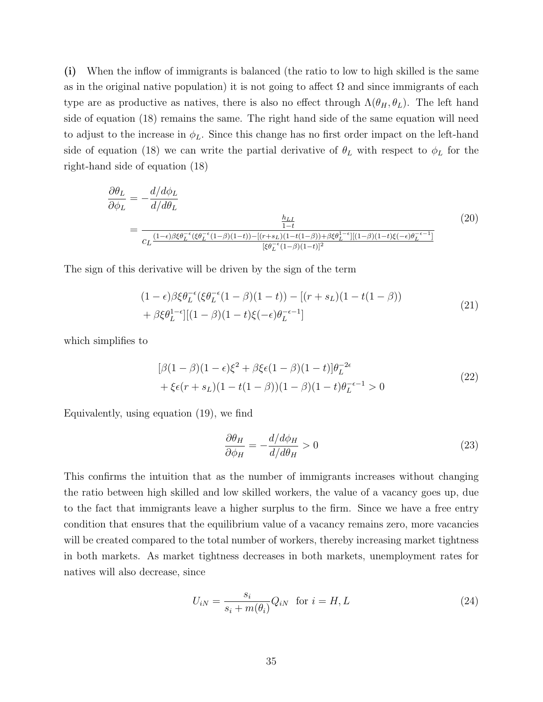(i) When the inflow of immigrants is balanced (the ratio to low to high skilled is the same as in the original native population) it is not going to affect  $\Omega$  and since immigrants of each type are as productive as natives, there is also no effect through  $\Lambda(\theta_H, \theta_L)$ . The left hand side of equation [\(18\)](#page-35-1) remains the same. The right hand side of the same equation will need to adjust to the increase in  $\phi_L$ . Since this change has no first order impact on the left-hand side of equation [\(18\)](#page-35-1) we can write the partial derivative of  $\theta_L$  with respect to  $\phi_L$  for the right-hand side of equation [\(18\)](#page-35-1)

$$
\frac{\partial \theta_L}{\partial \phi_L} = -\frac{d/d\phi_L}{d/d\theta_L}
$$
\n
$$
= \frac{\frac{h_{LL}}{1-t}}{c_L \frac{(1-\epsilon)\beta \xi \theta_L^{-\epsilon}(\xi \theta_L^{-\epsilon}(1-\beta)(1-t)) - [(r+s_L)(1-t(1-\beta)) + \beta \xi \theta_L^{1-\epsilon}][(1-\beta)(1-t)\xi(-\epsilon)\theta_L^{-\epsilon-1}]}}{[\xi \theta_L^{-\epsilon}(1-\beta)(1-t)]^2}
$$
\n(20)

The sign of this derivative will be driven by the sign of the term

$$
(1 - \epsilon)\beta \xi \theta_L^{-\epsilon} (\xi \theta_L^{-\epsilon} (1 - \beta)(1 - t)) - [(r + s_L)(1 - t(1 - \beta))+ \beta \xi \theta_L^{1 - \epsilon}] [(1 - \beta)(1 - t)\xi(-\epsilon)\theta_L^{-\epsilon - 1}]
$$
\n(21)

which simplifies to

$$
[\beta(1-\beta)(1-\epsilon)\xi^2 + \beta\xi\epsilon(1-\beta)(1-t)]\theta_L^{-2\epsilon}
$$
  
+  $\xi\epsilon(r+s_L)(1-t(1-\beta))(1-\beta)(1-t)\theta_L^{-\epsilon-1} > 0$  (22)

Equivalently, using equation [\(19\)](#page-35-2), we find

$$
\frac{\partial \theta_H}{\partial \phi_H} = -\frac{d/d\phi_H}{d/d\theta_H} > 0
$$
\n(23)

This confirms the intuition that as the number of immigrants increases without changing the ratio between high skilled and low skilled workers, the value of a vacancy goes up, due to the fact that immigrants leave a higher surplus to the firm. Since we have a free entry condition that ensures that the equilibrium value of a vacancy remains zero, more vacancies will be created compared to the total number of workers, thereby increasing market tightness in both markets. As market tightness decreases in both markets, unemployment rates for natives will also decrease, since

$$
U_{iN} = \frac{s_i}{s_i + m(\theta_i)} Q_{iN} \quad \text{for } i = H, L \tag{24}
$$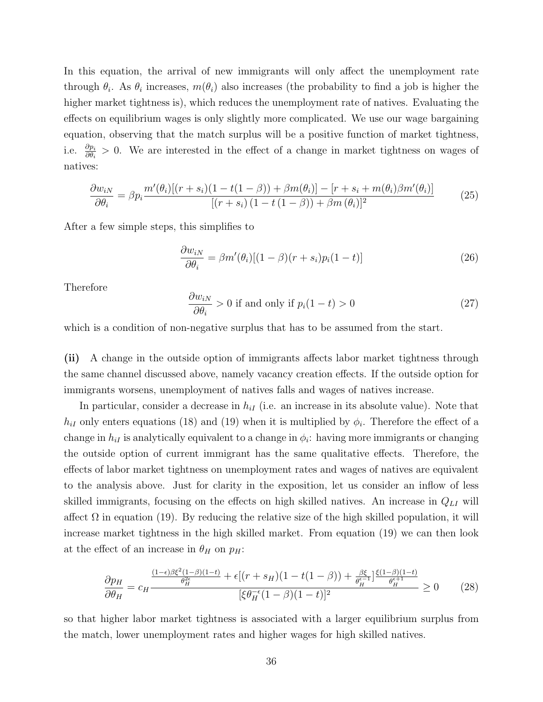In this equation, the arrival of new immigrants will only affect the unemployment rate through  $\theta_i$ . As  $\theta_i$  increases,  $m(\theta_i)$  also increases (the probability to find a job is higher the higher market tightness is), which reduces the unemployment rate of natives. Evaluating the effects on equilibrium wages is only slightly more complicated. We use our wage bargaining equation, observing that the match surplus will be a positive function of market tightness, i.e.  $\frac{\partial p_i}{\partial \theta_i} > 0$ . We are interested in the effect of a change in market tightness on wages of natives:

$$
\frac{\partial w_{iN}}{\partial \theta_i} = \beta p_i \frac{m'(\theta_i)[(r+s_i)(1-t(1-\beta)) + \beta m(\theta_i)] - [r+s_i+m(\theta_i)\beta m'(\theta_i)]}{[(r+s_i)(1-t(1-\beta)) + \beta m(\theta_i)]^2}
$$
(25)

After a few simple steps, this simplifies to

$$
\frac{\partial w_{iN}}{\partial \theta_i} = \beta m'(\theta_i)[(1-\beta)(r+s_i)p_i(1-t)] \tag{26}
$$

Therefore

$$
\frac{\partial w_{iN}}{\partial \theta_i} > 0 \text{ if and only if } p_i(1-t) > 0 \tag{27}
$$

which is a condition of non-negative surplus that has to be assumed from the start.

(ii) A change in the outside option of immigrants affects labor market tightness through the same channel discussed above, namely vacancy creation effects. If the outside option for immigrants worsens, unemployment of natives falls and wages of natives increase.

In particular, consider a decrease in  $h_{iI}$  (i.e. an increase in its absolute value). Note that  $h_{iI}$  only enters equations [\(18\)](#page-35-1) and [\(19\)](#page-35-2) when it is multiplied by  $\phi_i$ . Therefore the effect of a change in  $h_{iI}$  is analytically equivalent to a change in  $\phi_i$ : having more immigrants or changing the outside option of current immigrant has the same qualitative effects. Therefore, the effects of labor market tightness on unemployment rates and wages of natives are equivalent to the analysis above. Just for clarity in the exposition, let us consider an inflow of less skilled immigrants, focusing on the effects on high skilled natives. An increase in  $Q_{LI}$  will affect  $\Omega$  in equation [\(19\)](#page-35-2). By reducing the relative size of the high skilled population, it will increase market tightness in the high skilled market. From equation [\(19\)](#page-35-2) we can then look at the effect of an increase in  $\theta_H$  on  $p_H$ :

$$
\frac{\partial p_H}{\partial \theta_H} = c_H \frac{\frac{(1-\epsilon)\beta \xi^2 (1-\beta)(1-t)}{\theta_H^2} + \epsilon [(r+s_H)(1-t(1-\beta)) + \frac{\beta \xi}{\theta_H^{\epsilon-1}}] \frac{\xi (1-\beta)(1-t)}{\theta_H^{\epsilon+1}}}{[\xi \theta_H^{-\epsilon} (1-\beta)(1-t)]^2} \ge 0 \tag{28}
$$

so that higher labor market tightness is associated with a larger equilibrium surplus from the match, lower unemployment rates and higher wages for high skilled natives.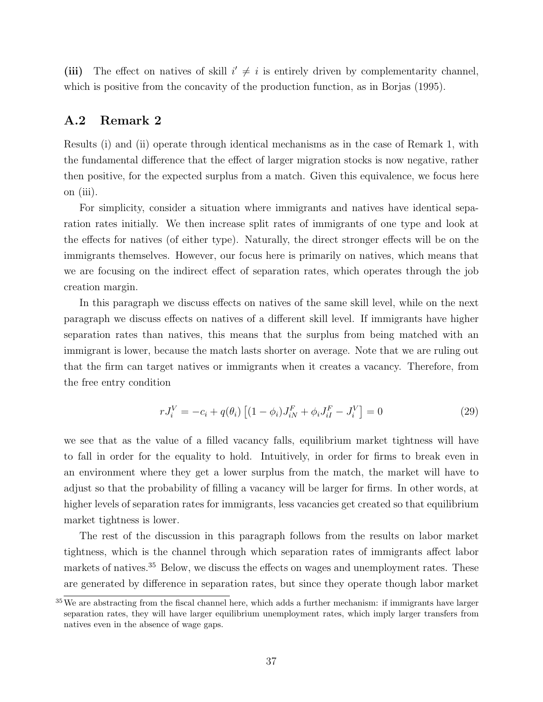(iii) The effect on natives of skill  $i' \neq i$  is entirely driven by complementarity channel, which is positive from the concavity of the production function, as in [Borjas](#page-32-0) [\(1995\)](#page-32-0).

#### A.2 Remark 2

Results (i) and (ii) operate through identical mechanisms as in the case of Remark 1, with the fundamental difference that the effect of larger migration stocks is now negative, rather then positive, for the expected surplus from a match. Given this equivalence, we focus here on (iii).

For simplicity, consider a situation where immigrants and natives have identical separation rates initially. We then increase split rates of immigrants of one type and look at the effects for natives (of either type). Naturally, the direct stronger effects will be on the immigrants themselves. However, our focus here is primarily on natives, which means that we are focusing on the indirect effect of separation rates, which operates through the job creation margin.

In this paragraph we discuss effects on natives of the same skill level, while on the next paragraph we discuss effects on natives of a different skill level. If immigrants have higher separation rates than natives, this means that the surplus from being matched with an immigrant is lower, because the match lasts shorter on average. Note that we are ruling out that the firm can target natives or immigrants when it creates a vacancy. Therefore, from the free entry condition

$$
rJ_i^V = -c_i + q(\theta_i) \left[ (1 - \phi_i) J_{iN}^F + \phi_i J_{iI}^F - J_i^V \right] = 0 \tag{29}
$$

we see that as the value of a filled vacancy falls, equilibrium market tightness will have to fall in order for the equality to hold. Intuitively, in order for firms to break even in an environment where they get a lower surplus from the match, the market will have to adjust so that the probability of filling a vacancy will be larger for firms. In other words, at higher levels of separation rates for immigrants, less vacancies get created so that equilibrium market tightness is lower.

The rest of the discussion in this paragraph follows from the results on labor market tightness, which is the channel through which separation rates of immigrants affect labor markets of natives.[35](#page-38-0) Below, we discuss the effects on wages and unemployment rates. These are generated by difference in separation rates, but since they operate though labor market

<span id="page-38-0"></span><sup>&</sup>lt;sup>35</sup> We are abstracting from the fiscal channel here, which adds a further mechanism: if immigrants have larger separation rates, they will have larger equilibrium unemployment rates, which imply larger transfers from natives even in the absence of wage gaps.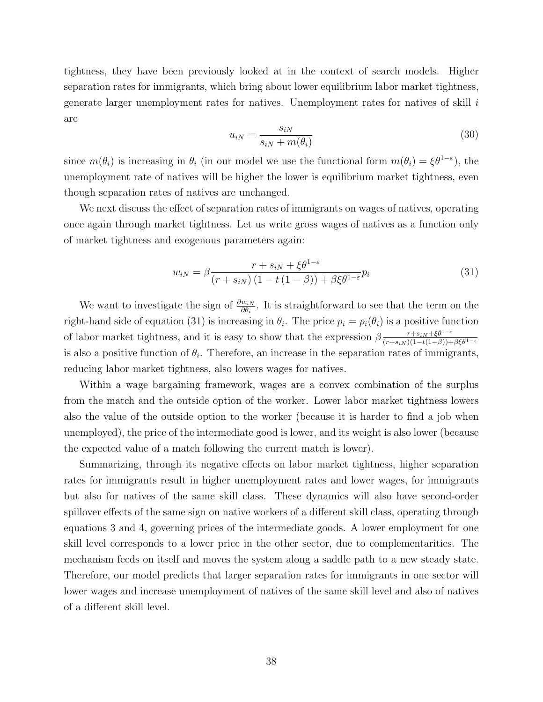tightness, they have been previously looked at in the context of search models. Higher separation rates for immigrants, which bring about lower equilibrium labor market tightness, generate larger unemployment rates for natives. Unemployment rates for natives of skill i are

$$
u_{iN} = \frac{s_{iN}}{s_{iN} + m(\theta_i)}\tag{30}
$$

since  $m(\theta_i)$  is increasing in  $\theta_i$  (in our model we use the functional form  $m(\theta_i) = \xi \theta^{1-\epsilon}$ ), the unemployment rate of natives will be higher the lower is equilibrium market tightness, even though separation rates of natives are unchanged.

We next discuss the effect of separation rates of immigrants on wages of natives, operating once again through market tightness. Let us write gross wages of natives as a function only of market tightness and exogenous parameters again:

<span id="page-39-0"></span>
$$
w_{iN} = \beta \frac{r + s_{iN} + \xi \theta^{1-\varepsilon}}{(r + s_{iN})(1 - t(1 - \beta)) + \beta \xi \theta^{1-\varepsilon}} p_i
$$
(31)

We want to investigate the sign of  $\frac{\partial w_{iN}}{\partial \theta_i}$ . It is straightforward to see that the term on the right-hand side of equation [\(31\)](#page-39-0) is increasing in  $\theta_i$ . The price  $p_i = p_i(\theta_i)$  is a positive function of labor market tightness, and it is easy to show that the expression  $\beta \frac{r+s_{iN}+\xi \theta^{1-\varepsilon}}{(r+s_{iN})(1-t(1-\beta)) + \xi \theta^{1-\varepsilon}}$  $(r+s_{iN})$  $(1-t(1-\beta))+\beta \xi \theta^{1-\varepsilon}$ is also a positive function of  $\theta_i$ . Therefore, an increase in the separation rates of immigrants, reducing labor market tightness, also lowers wages for natives.

Within a wage bargaining framework, wages are a convex combination of the surplus from the match and the outside option of the worker. Lower labor market tightness lowers also the value of the outside option to the worker (because it is harder to find a job when unemployed), the price of the intermediate good is lower, and its weight is also lower (because the expected value of a match following the current match is lower).

Summarizing, through its negative effects on labor market tightness, higher separation rates for immigrants result in higher unemployment rates and lower wages, for immigrants but also for natives of the same skill class. These dynamics will also have second-order spillover effects of the same sign on native workers of a different skill class, operating through equations [3](#page-11-2) and [4,](#page-11-2) governing prices of the intermediate goods. A lower employment for one skill level corresponds to a lower price in the other sector, due to complementarities. The mechanism feeds on itself and moves the system along a saddle path to a new steady state. Therefore, our model predicts that larger separation rates for immigrants in one sector will lower wages and increase unemployment of natives of the same skill level and also of natives of a different skill level.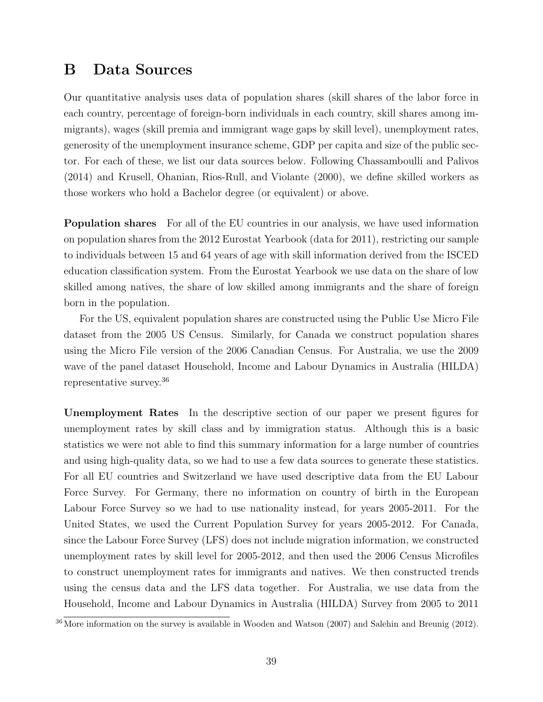## <span id="page-40-0"></span>B Data Sources

Our quantitative analysis uses data of population shares (skill shares of the labor force in each country, percentage of foreign-born individuals in each country, skill shares among immigrants), wages (skill premia and immigrant wage gaps by skill level), unemployment rates, generosity of the unemployment insurance scheme, GDP per capita and size of the public sector. For each of these, we list our data sources below. Following [Chassamboulli and Palivos](#page-32-8) [\(2014\)](#page-32-8) and [Krusell, Ohanian, Rios-Rull, and Violante](#page-33-16) [\(2000\)](#page-33-16), we define skilled workers as those workers who hold a Bachelor degree (or equivalent) or above.

Population shares For all of the EU countries in our analysis, we have used information on population shares from the 2012 Eurostat Yearbook (data for 2011), restricting our sample to individuals between 15 and 64 years of age with skill information derived from the ISCED education classification system. From the Eurostat Yearbook we use data on the share of low skilled among natives, the share of low skilled among immigrants and the share of foreign born in the population.

For the US, equivalent population shares are constructed using the Public Use Micro File dataset from the 2005 US Census. Similarly, for Canada we construct population shares using the Micro File version of the 2006 Canadian Census. For Australia, we use the 2009 wave of the panel dataset Household, Income and Labour Dynamics in Australia (HILDA) representative survey.[36](#page-40-1)

Unemployment Rates In the descriptive section of our paper we present figures for unemployment rates by skill class and by immigration status. Although this is a basic statistics we were not able to find this summary information for a large number of countries and using high-quality data, so we had to use a few data sources to generate these statistics. For all EU countries and Switzerland we have used descriptive data from the EU Labour Force Survey. For Germany, there no information on country of birth in the European Labour Force Survey so we had to use nationality instead, for years 2005-2011. For the United States, we used the Current Population Survey for years 2005-2012. For Canada, since the Labour Force Survey (LFS) does not include migration information, we constructed unemployment rates by skill level for 2005-2012, and then used the 2006 Census Microfiles to construct unemployment rates for immigrants and natives. We then constructed trends using the census data and the LFS data together. For Australia, we use data from the Household, Income and Labour Dynamics in Australia (HILDA) Survey from 2005 to 2011

<span id="page-40-1"></span> $36$  More information on the survey is available in [Wooden and Watson](#page-34-4) [\(2007\)](#page-34-4) and [Salehin and Breunig](#page-33-17) [\(2012\)](#page-33-17).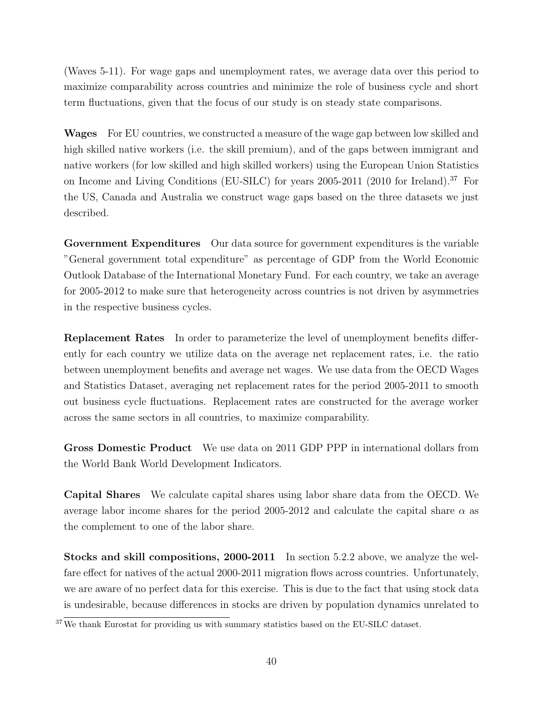(Waves 5-11). For wage gaps and unemployment rates, we average data over this period to maximize comparability across countries and minimize the role of business cycle and short term fluctuations, given that the focus of our study is on steady state comparisons.

Wages For EU countries, we constructed a measure of the wage gap between low skilled and high skilled native workers (i.e. the skill premium), and of the gaps between immigrant and native workers (for low skilled and high skilled workers) using the European Union Statistics on Income and Living Conditions (EU-SILC) for years 2005-2011 (2010 for Ireland).[37](#page-41-0) For the US, Canada and Australia we construct wage gaps based on the three datasets we just described.

Government Expenditures Our data source for government expenditures is the variable "General government total expenditure" as percentage of GDP from the World Economic Outlook Database of the International Monetary Fund. For each country, we take an average for 2005-2012 to make sure that heterogeneity across countries is not driven by asymmetries in the respective business cycles.

Replacement Rates In order to parameterize the level of unemployment benefits differently for each country we utilize data on the average net replacement rates, i.e. the ratio between unemployment benefits and average net wages. We use data from the OECD Wages and Statistics Dataset, averaging net replacement rates for the period 2005-2011 to smooth out business cycle fluctuations. Replacement rates are constructed for the average worker across the same sectors in all countries, to maximize comparability.

Gross Domestic Product We use data on 2011 GDP PPP in international dollars from the World Bank World Development Indicators.

Capital Shares We calculate capital shares using labor share data from the OECD. We average labor income shares for the period 2005-2012 and calculate the capital share  $\alpha$  as the complement to one of the labor share.

Stocks and skill compositions, 2000-2011 In section [5.2.2](#page-24-1) above, we analyze the welfare effect for natives of the actual 2000-2011 migration flows across countries. Unfortunately, we are aware of no perfect data for this exercise. This is due to the fact that using stock data is undesirable, because differences in stocks are driven by population dynamics unrelated to

<span id="page-41-0"></span><sup>&</sup>lt;sup>37</sup>We thank Eurostat for providing us with summary statistics based on the EU-SILC dataset.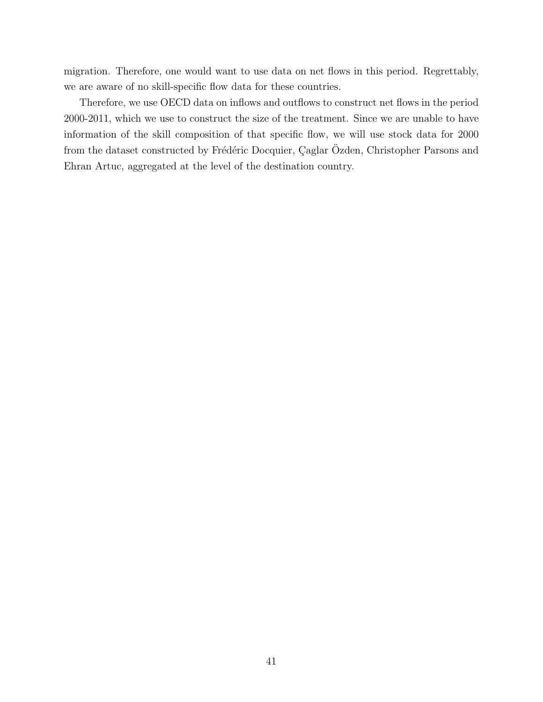migration. Therefore, one would want to use data on net flows in this period. Regrettably, we are aware of no skill-specific flow data for these countries.

Therefore, we use OECD data on inflows and outflows to construct net flows in the period 2000-2011, which we use to construct the size of the treatment. Since we are unable to have information of the skill composition of that specific flow, we will use stock data for 2000 from the dataset constructed by Frédéric Docquier, Çaglar Özden, Christopher Parsons and Ehran Artuc, aggregated at the level of the destination country.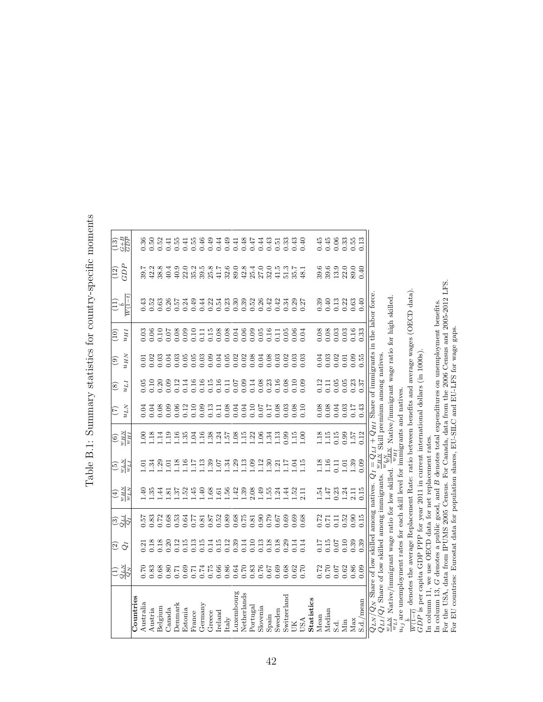| י<br>$\frac{1}{2}$<br>֚                                                                                                                                                                                                        |
|--------------------------------------------------------------------------------------------------------------------------------------------------------------------------------------------------------------------------------|
| $\overline{a}$<br>I<br>į                                                                                                                                                                                                       |
| i                                                                                                                                                                                                                              |
| )<br>I                                                                                                                                                                                                                         |
| have control control that control the control that control control control control control control control control that control control control control control control control control control control control control contro |
| ζ                                                                                                                                                                                                                              |
| ĺ                                                                                                                                                                                                                              |
| j<br>.<br> <br>۱                                                                                                                                                                                                               |

|                                                                                              | $\frac{1}{2}$                                          | $\widehat{\mathfrak{D}}$<br>$\tilde{Q}$ | $\frac{55}{6}$         | $\frac{\sum_{H,m}^{N}}{\sum_{H,m}^{N}}$       | $\frac{17n}{NTm}$                      | $\frac{Hm}{NHm}$                                  | $n_{LLN}$<br>(7)                                      | I T n<br>$\circledast$ | $u_{HN}$<br>ම | UHI<br>$\left(10\right)$                                            | $\frac{1}{W(1-t)}$                           | GDP<br>(12)                                                                          | $\frac{13}{13}$                      |
|----------------------------------------------------------------------------------------------|--------------------------------------------------------|-----------------------------------------|------------------------|-----------------------------------------------|----------------------------------------|---------------------------------------------------|-------------------------------------------------------|------------------------|---------------|---------------------------------------------------------------------|----------------------------------------------|--------------------------------------------------------------------------------------|--------------------------------------|
| <b>Countries</b>                                                                             |                                                        |                                         |                        |                                               |                                        |                                                   |                                                       |                        |               |                                                                     |                                              |                                                                                      |                                      |
| Australia                                                                                    | 0.70                                                   |                                         |                        |                                               |                                        |                                                   |                                                       |                        |               |                                                                     |                                              |                                                                                      |                                      |
| Austria                                                                                      | 0.83                                                   |                                         |                        | $\frac{40}{35}$                               |                                        | 0 8 8 4 9 9 8 9 9 9 8 9 4 5 8 9 9 9 9 9 9 9 9 9 0 | 11888999989118911005168889<br>00000000000000000000000 |                        |               | 8<br>88888888888888888888888                                        |                                              | LA 2010 CA 2021 CO 2010<br>CA 2000 A 2021 CA 2021 CL<br>LA 2000 A 2022 A 2022 A 2022 | $0.50$<br>$0.52$                     |
| Belgium                                                                                      | 0.68                                                   |                                         |                        | $\ddot{=}$                                    |                                        |                                                   |                                                       |                        |               |                                                                     |                                              |                                                                                      |                                      |
| Canada                                                                                       |                                                        |                                         |                        |                                               |                                        |                                                   |                                                       |                        |               |                                                                     |                                              |                                                                                      |                                      |
| Denmark                                                                                      |                                                        |                                         |                        |                                               |                                        |                                                   |                                                       |                        |               |                                                                     |                                              |                                                                                      | 0.55                                 |
| Estonia                                                                                      |                                                        |                                         |                        |                                               |                                        |                                                   |                                                       |                        |               |                                                                     |                                              |                                                                                      | 1590149186431890<br>1590149186431890 |
| France                                                                                       |                                                        |                                         |                        |                                               |                                        |                                                   |                                                       |                        |               |                                                                     |                                              |                                                                                      |                                      |
| Germany                                                                                      |                                                        |                                         |                        |                                               |                                        |                                                   |                                                       |                        |               |                                                                     |                                              |                                                                                      |                                      |
| Greece                                                                                       |                                                        |                                         |                        |                                               |                                        |                                                   |                                                       |                        |               |                                                                     |                                              |                                                                                      |                                      |
| Ireland                                                                                      |                                                        |                                         |                        |                                               |                                        |                                                   |                                                       |                        |               |                                                                     |                                              |                                                                                      |                                      |
| $_{\rm Italy}$                                                                               |                                                        |                                         |                        |                                               |                                        |                                                   |                                                       |                        |               |                                                                     |                                              |                                                                                      |                                      |
| Luxembourg                                                                                   | 3.<br>3.<br>3.<br>3.<br>3.<br>3.<br>3.<br>3.<br>3.<br> |                                         |                        |                                               |                                        |                                                   |                                                       |                        |               |                                                                     |                                              |                                                                                      |                                      |
| Netherlands                                                                                  |                                                        |                                         |                        |                                               |                                        |                                                   |                                                       |                        |               |                                                                     |                                              |                                                                                      |                                      |
| Portugal                                                                                     |                                                        |                                         |                        |                                               |                                        |                                                   |                                                       |                        |               |                                                                     |                                              |                                                                                      |                                      |
| Slovenia                                                                                     |                                                        |                                         |                        |                                               |                                        |                                                   |                                                       |                        |               |                                                                     |                                              |                                                                                      |                                      |
| Spain                                                                                        |                                                        |                                         |                        |                                               |                                        |                                                   |                                                       |                        |               |                                                                     |                                              |                                                                                      |                                      |
| Sweden                                                                                       | 8<br>8888<br>889<br>889                                |                                         |                        |                                               |                                        |                                                   |                                                       |                        |               |                                                                     |                                              | $32.581$<br>$37.581$<br>$38.7$                                                       |                                      |
| Switzerland                                                                                  |                                                        |                                         |                        |                                               |                                        |                                                   |                                                       |                        |               |                                                                     |                                              |                                                                                      |                                      |
| ŠК                                                                                           |                                                        |                                         |                        |                                               |                                        |                                                   |                                                       |                        |               |                                                                     |                                              |                                                                                      |                                      |
| USA                                                                                          |                                                        | 0.14                                    |                        |                                               |                                        |                                                   |                                                       |                        |               |                                                                     |                                              |                                                                                      |                                      |
| <b>Statistics</b>                                                                            |                                                        |                                         |                        |                                               |                                        |                                                   |                                                       |                        |               |                                                                     |                                              |                                                                                      |                                      |
| Mean                                                                                         |                                                        |                                         |                        |                                               |                                        |                                                   |                                                       | 0.12                   |               |                                                                     |                                              |                                                                                      |                                      |
| Median                                                                                       |                                                        |                                         |                        |                                               |                                        |                                                   |                                                       |                        |               |                                                                     |                                              |                                                                                      |                                      |
| S.d.                                                                                         |                                                        |                                         |                        |                                               |                                        |                                                   |                                                       |                        |               |                                                                     |                                              |                                                                                      |                                      |
| Nin                                                                                          | 8800<br>000000<br>0000                                 | 65<br>1555<br>1556                      | 0.71<br>0.711<br>0.000 | $1.54$<br>$1.47$<br>$0.24$<br>$1.1$<br>$2.11$ | 116<br>115<br>116<br>116               | $1.18$<br>$1.15$<br>$0.35$<br>$1.57$              | 717<br>0.000<br>0.000<br>0.00                         | $1188835$<br>$0.0000$  |               | $\begin{array}{c} 0.08 \\ 0.03 \\ 0.03 \\ 0.01 \\ 0.16 \end{array}$ | 33<br>334<br>000000                          | 9 9 9 9 9 9<br>9 9 9 1 9 9<br>8 9 1 9 9                                              |                                      |
| Max                                                                                          |                                                        |                                         |                        |                                               |                                        |                                                   |                                                       |                        |               |                                                                     |                                              |                                                                                      |                                      |
| S.d./mean                                                                                    | 0.09                                                   | 0.39                                    | 0.15                   | 0.15                                          | 0.09                                   | 0.12                                              | 0.43                                                  |                        |               | 0.33                                                                | 0.40                                         | 0.40                                                                                 |                                      |
| $Q_{LN}/Q_N$ Share of low skilled among natives. $Q_I = Q_{LI} + Q_{HI}$ Share of immigrants |                                                        |                                         |                        |                                               |                                        |                                                   |                                                       |                        |               |                                                                     | in the labor force.                          |                                                                                      |                                      |
| $Q_{LI}/Q_I$ Share of low skilled among immigrants.                                          |                                                        |                                         |                        |                                               | $_{NHm}$                               | Skill premium among natives                       |                                                       |                        |               |                                                                     |                                              |                                                                                      |                                      |
| $\frac{w_L N}{w_L N}$ Native/immigrant wage ratio for low skilled.<br>$\pi_{\pi}$            |                                                        |                                         |                        |                                               | $\frac{m_{HW}^{NN}}{MP_m}$<br>$u_{HI}$ |                                                   |                                                       |                        |               |                                                                     | Native/immigrant wage ratio for high skilled |                                                                                      |                                      |
| $u_{ij}$ are unemployment rates for each skill level for immigrants and natives              |                                                        |                                         |                        |                                               |                                        |                                                   |                                                       |                        |               |                                                                     |                                              |                                                                                      |                                      |

⊩ا⊂⊶

 $\frac{b}{W(1-t)}$  denotes the average Replacement Rate: ratio between benefits and average wages (OECD data).

GDP is per capita GDP PPP for year 2011 in current international dollars (in 1000s).

<span id="page-43-0"></span>In column 11, we use OECD data for net replacement rates. GB

In column 13, denotes a public good, and  $B$  denotes total expenditures on unemployment benefits.<br> $F_{n} = \sum_{i=1}^{n} A_{i} = \sum_{i=1}^{n} A_{i} = \sum_{i=1}^{n} A_{i}$ For the USA, data from IPUMS 2005 Census. For Canada, data from the 2006 Census and 2005-2012 LFS. For EU countries: Eurostat data for population shares, EU-SILC and EU-LFS for wage gaps.